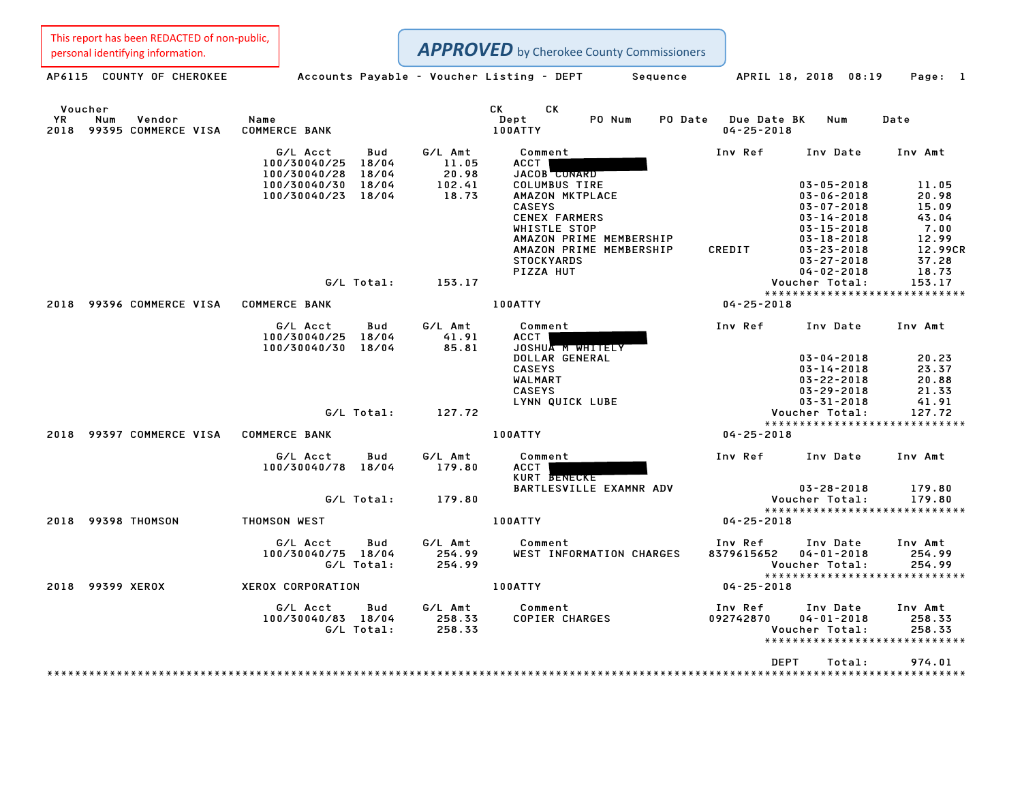| This report has been REDACTED of non-public,<br>personal identifying information. |                                                                                                                                   |                                                        | <b>APPROVED</b> by Cherokee County Commissioners                                                                                                                                                                                   |                       |                                                                                                                                                                                                                |                                                                                                     |
|-----------------------------------------------------------------------------------|-----------------------------------------------------------------------------------------------------------------------------------|--------------------------------------------------------|------------------------------------------------------------------------------------------------------------------------------------------------------------------------------------------------------------------------------------|-----------------------|----------------------------------------------------------------------------------------------------------------------------------------------------------------------------------------------------------------|-----------------------------------------------------------------------------------------------------|
| AP6115 COUNTY OF CHEROKEE                                                         | Accounts Payable - Voucher Listing - DEPT                                                                                         |                                                        |                                                                                                                                                                                                                                    | Sequence              | APRIL 18, 2018 08:19                                                                                                                                                                                           | Page: 1                                                                                             |
| Voucher<br>ΥR<br>Num<br>Vendor<br>2018<br>99395 COMMERCE VISA                     | Name<br><b>COMMERCE BANK</b>                                                                                                      |                                                        | СK<br>СK<br>Dept<br>PO Num<br>100ATTY                                                                                                                                                                                              | PO Date               | Due Date BK<br>Num<br>$04 - 25 - 2018$                                                                                                                                                                         | Date                                                                                                |
|                                                                                   | G/L Acct<br>Bud<br>100/30040/25<br>18/04<br>18/04<br>100/30040/28<br>18/04<br>100/30040/30<br>100/30040/23<br>18/04<br>G/L Total: | G/L Amt<br>11.05<br>20.98<br>102.41<br>18.73<br>153.17 | Comment<br>ACCT<br><b>JACOB</b> CONARD<br><b>COLUMBUS TIRE</b><br>AMAZON MKTPLACE<br><b>CASEYS</b><br><b>CENEX FARMERS</b><br>WHISTLE STOP<br>AMAZON PRIME MEMBERSHIP<br>AMAZON PRIME MEMBERSHIP<br><b>STOCKYARDS</b><br>PIZZA HUT | Inv Ref<br>CREDIT     | Inv Date<br>$03 - 05 - 2018$<br>$03 - 06 - 2018$<br>$03 - 07 - 2018$<br>$03 - 14 - 2018$<br>$03 - 15 - 2018$<br>$03 - 18 - 2018$<br>$03 - 23 - 2018$<br>$03 - 27 - 2018$<br>$04 - 02 - 2018$<br>Voucher Total: | Inv Amt<br>11.05<br>20.98<br>15.09<br>43.04<br>7.00<br>12.99<br>12.99CR<br>37.28<br>18.73<br>153.17 |
| 99396 COMMERCE VISA<br>2018                                                       | <b>COMMERCE BANK</b>                                                                                                              |                                                        | 100ATTY                                                                                                                                                                                                                            |                       | *****************************<br>$04 - 25 - 2018$                                                                                                                                                              |                                                                                                     |
|                                                                                   | G/L Acct<br>Bud<br>100/30040/25 18/04<br>100/30040/30 18/04                                                                       | G/L Amt<br>41.91<br>85.81                              | Comment<br><b>ACCT</b><br>JOSHUA M WHITELY<br>DOLLAR GENERAL<br><b>CASEYS</b><br>WALMART<br><b>CASEYS</b><br>LYNN QUICK LUBE                                                                                                       | Inv Ref               | Inv Date<br>$03 - 04 - 2018$<br>$03 - 14 - 2018$<br>$03 - 22 - 2018$<br>$03 - 29 - 2018$<br>$03 - 31 - 2018$                                                                                                   | Inv Amt<br>20.23<br>23.37<br>20.88<br>21.33<br>41.91                                                |
|                                                                                   | G/L Total:                                                                                                                        | 127.72                                                 |                                                                                                                                                                                                                                    |                       | Voucher Total:<br>*****************************                                                                                                                                                                | 127.72                                                                                              |
| 2018<br>99397 COMMERCE VISA                                                       | <b>COMMERCE BANK</b>                                                                                                              |                                                        | 100ATTY                                                                                                                                                                                                                            |                       | $04 - 25 - 2018$                                                                                                                                                                                               |                                                                                                     |
|                                                                                   | G/L Acct<br>Bud<br>100/30040/78 18/04                                                                                             | G/L Amt<br>179.80                                      | Comment<br><b>ACCT</b><br>KURT BENECKE<br>BARTLESVILLE EXAMNR ADV                                                                                                                                                                  | Inv Ref               | Inv Date<br>$03 - 28 - 2018$                                                                                                                                                                                   | Inv Amt<br>179.80                                                                                   |
|                                                                                   | G/L Total:                                                                                                                        | 179.80                                                 |                                                                                                                                                                                                                                    |                       | Voucher Total:<br>*****************************                                                                                                                                                                | 179.80                                                                                              |
| 2018<br>99398 THOMSON                                                             | THOMSON WEST<br>G/L Acct<br>Bud<br>100/30040/75 18/04<br>G/L Total:                                                               | G/L Amt<br>254.99<br>254.99                            | 100ATTY<br>Comment<br>WEST INFORMATION CHARGES                                                                                                                                                                                     | Inv Ref<br>8379615652 | $04 - 25 - 2018$<br>Inv Date<br>$04 - 01 - 2018$<br>Voucher Total:                                                                                                                                             | Inv Amt<br>254.99<br>254.99                                                                         |
| <b>99399 XEROX</b><br>2018                                                        | <b>XEROX CORPORATION</b>                                                                                                          |                                                        | 100ATTY                                                                                                                                                                                                                            |                       | *****************************<br>$04 - 25 - 2018$                                                                                                                                                              |                                                                                                     |
|                                                                                   | G/L Acct<br>Bud<br>100/30040/83 18/04<br>G/L Total:                                                                               | G/L Amt<br>258.33<br>258.33                            | Comment<br><b>COPIER CHARGES</b>                                                                                                                                                                                                   | Inv Ref<br>092742870  | Inv Date<br>$04 - 01 - 2018$<br>Voucher Total:<br>*****************************                                                                                                                                | Inv Amt<br>258.33<br>258.33                                                                         |
|                                                                                   |                                                                                                                                   |                                                        |                                                                                                                                                                                                                                    |                       | <b>DEPT</b><br>Total:                                                                                                                                                                                          | 974.01<br>******************                                                                        |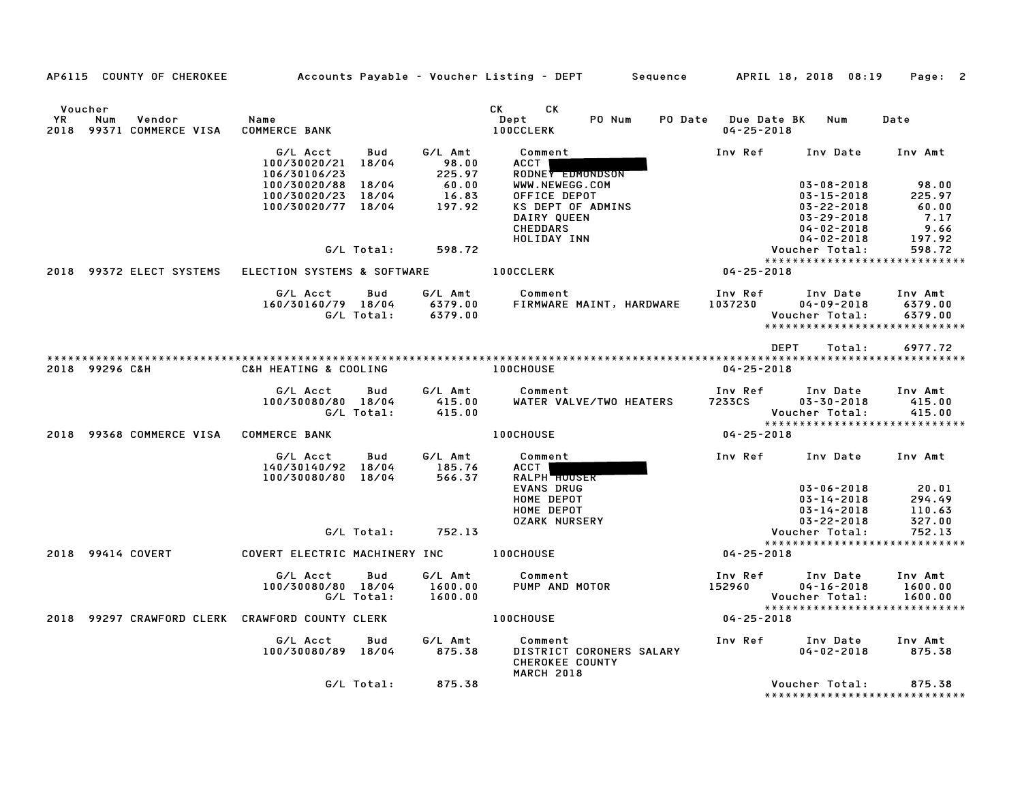| YR   | Voucher<br>Num<br>Vendor<br>2018 99371 COMMERCE VISA | Name<br><b>COMMERCE BANK</b>             |              |                            | CK .<br>CK.<br>Dept<br><b>100CCLERK</b>                                     | PO Num<br>PO Date | <b>Due Date BK</b><br>$04 - 25 - 2018$ | Num                                             | Date               |
|------|------------------------------------------------------|------------------------------------------|--------------|----------------------------|-----------------------------------------------------------------------------|-------------------|----------------------------------------|-------------------------------------------------|--------------------|
|      |                                                      | G/L Acct<br>100/30020/21<br>106/30106/23 | Bud<br>18/04 | G/L Amt<br>98.00<br>225.97 | Comment<br>ACCT                                                             |                   | Inv Ref                                | Inv Date                                        | Inv Amt            |
|      |                                                      | 100/30020/88                             | 18/04        | 60.00                      | RODNEY EDMONDSON<br>WWW.NEWEGG.COM                                          |                   |                                        | $03 - 08 - 2018$                                | 98.00              |
|      |                                                      | 100/30020/23 18/04<br>100/30020/77 18/04 |              | 16.83<br>197.92            | OFFICE DEPOT<br>KS DEPT OF ADMINS                                           |                   |                                        | $03 - 15 - 2018$<br>$03 - 22 - 2018$            | 225.97<br>60.00    |
|      |                                                      |                                          |              |                            | DAIRY QUEEN                                                                 |                   |                                        | $03 - 29 - 2018$                                | 7.17               |
|      |                                                      |                                          |              |                            | <b>CHEDDARS</b>                                                             |                   |                                        | $04 - 02 - 2018$                                | 9.66               |
|      |                                                      |                                          | G/L Total:   | 598.72                     | HOLIDAY INN                                                                 |                   |                                        | $04 - 02 - 2018$<br>Voucher Total:              | 197.92<br>598.72   |
|      |                                                      |                                          |              |                            |                                                                             |                   |                                        | *****************************                   |                    |
| 2018 | 99372 ELECT SYSTEMS                                  | ELECTION SYSTEMS & SOFTWARE              |              |                            | <b>100CCLERK</b>                                                            |                   | $04 - 25 - 2018$                       |                                                 |                    |
|      |                                                      | G/L Acct                                 | Bud          | G/L Amt                    | Comment                                                                     |                   | Inv Ref                                | Inv Date                                        | Inv Amt            |
|      |                                                      | 160/30160/79 18/04                       | G/L Total:   | 6379.00<br>6379.00         | FIRMWARE MAINT, HARDWARE                                                    |                   | 1037230                                | $04 - 09 - 2018$                                | 6379.00<br>6379.00 |
|      |                                                      |                                          |              |                            |                                                                             |                   |                                        | Voucher Total:<br>***************************** |                    |
|      |                                                      |                                          |              |                            |                                                                             |                   |                                        | <b>DEPT</b><br>Total:                           | 6977.72            |
|      |                                                      |                                          |              |                            |                                                                             |                   |                                        |                                                 |                    |
|      | 2018 99296 C&H                                       | C&H HEATING & COOLING                    |              |                            | <b>100CHOUSE</b>                                                            |                   | $04 - 25 - 2018$                       |                                                 |                    |
|      |                                                      | G/L Acct                                 | Bud          | G/L Amt                    | Comment                                                                     |                   | Inv Ref                                | Inv Date                                        | Inv Amt            |
|      |                                                      | 100/30080/80 18/04                       | G/L Total:   | 415.00<br>415.00           | WATER VALVE/TWO HEATERS                                                     |                   | 7233CS                                 | $03 - 30 - 2018$<br>Voucher Total:              | 415.00<br>415.00   |
|      |                                                      |                                          |              |                            |                                                                             |                   |                                        | *****************************                   |                    |
| 2018 | 99368 COMMERCE VISA                                  | <b>COMMERCE BANK</b>                     |              |                            | <b>100CHOUSE</b>                                                            |                   | $04 - 25 - 2018$                       |                                                 |                    |
|      |                                                      | G/L Acct<br>140/30140/92 18/04           | Bud          | G/L Amt<br>185.76          | Comment<br><b>ACCT</b>                                                      |                   | Inv Ref                                | Inv Date                                        | Inv Amt            |
|      |                                                      | 100/30080/80                             | 18/04        | 566.37                     | <b>RALPH HOUSER</b><br><b>EVANS DRUG</b>                                    |                   |                                        | $03 - 06 - 2018$                                | 20.01              |
|      |                                                      |                                          |              |                            | HOME DEPOT                                                                  |                   |                                        | $03 - 14 - 2018$                                | 294.49             |
|      |                                                      |                                          |              |                            | HOME DEPOT                                                                  |                   |                                        | $03 - 14 - 2018$                                | 110.63             |
|      |                                                      |                                          | G/L Total:   | 752.13                     | <b>OZARK NURSERY</b>                                                        |                   |                                        | $03 - 22 - 2018$<br>Voucher Total:              | 327.00<br>752.13   |
|      |                                                      |                                          |              |                            |                                                                             |                   |                                        | *****************************                   |                    |
|      | 2018 99414 COVERT                                    | COVERT ELECTRIC MACHINERY INC            |              |                            | <b>100CHOUSE</b>                                                            |                   | $04 - 25 - 2018$                       |                                                 |                    |
|      |                                                      | G/L Acct                                 | Bud          | G/L Amt                    | Comment                                                                     |                   | Inv Ref                                | Inv Date                                        | Inv Amt            |
|      |                                                      | 100/30080/80 18/04                       | G/L Total:   | 1600.00<br>1600.00         | PUMP AND MOTOR                                                              |                   | 152960                                 | $04 - 16 - 2018$<br>Voucher Total:              | 1600.00<br>1600.00 |
|      |                                                      |                                          |              |                            |                                                                             |                   |                                        | *****************************                   |                    |
| 2018 | 99297 CRAWFORD CLERK CRAWFORD COUNTY CLERK           |                                          |              |                            | <b>100CHOUSE</b>                                                            |                   | $04 - 25 - 2018$                       |                                                 |                    |
|      |                                                      | G/L Acct<br>100/30080/89 18/04           | Bud          | G/L Amt<br>875.38          | Comment<br>DISTRICT CORONERS SALARY<br>CHEROKEE COUNTY<br><b>MARCH 2018</b> |                   | Inv Ref                                | Inv Date<br>$04 - 02 - 2018$                    | Inv Amt<br>875.38  |
|      |                                                      |                                          | G/L Total:   | 875.38                     |                                                                             |                   |                                        | Voucher Total:<br>***************************   | 875.38             |

AP6115 COUNTY OF CHEROKEE Accounts Payable - Voucher Listing - DEPT Sequence APRIL 18, <sup>2018</sup> 08:19 Page: <sup>2</sup>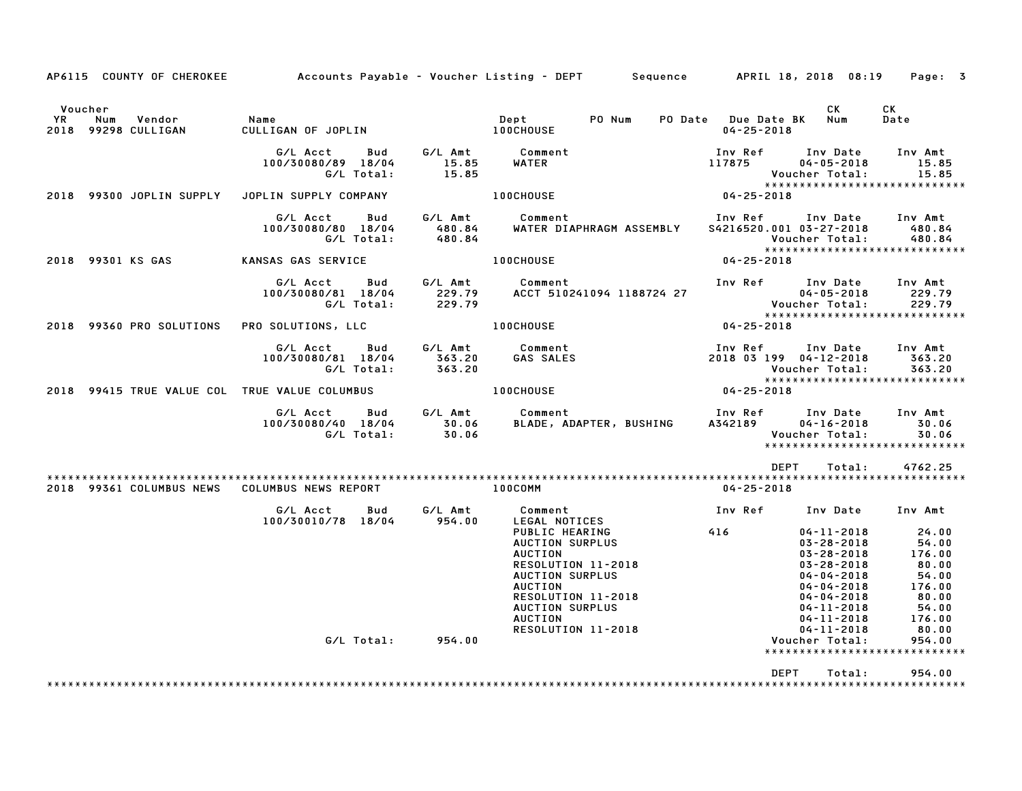| AP6115 COUNTY OF CHEROKEE                             |                                                            |                                 | Accounts Payable – Voucher Listing – DEPT – Sequence – APRIL 18, 2018 08:19                                        |                                                                                                                                  | Page: 3                                                                    |
|-------------------------------------------------------|------------------------------------------------------------|---------------------------------|--------------------------------------------------------------------------------------------------------------------|----------------------------------------------------------------------------------------------------------------------------------|----------------------------------------------------------------------------|
| Voucher<br>Vendor<br>YR<br>Num<br>2018 99298 CULLIGAN | Name<br>CULLIGAN OF JOPLIN                                 |                                 | PO Num<br>Dept<br><b>100CHOUSE</b>                                                                                 | CK<br>PO Date Due Date BK<br>Num<br>$04 - 25 - 2018$                                                                             | CK<br>Date                                                                 |
|                                                       | G/L Acct<br>Bud<br>100/30080/89 18/04<br>G/L Total:        | G/L Amt<br>15.85<br>15.85       | Comment<br>WATER                                                                                                   | Inv Ref<br>Inv Date<br>117875<br>$04 - 05 - 2018$<br><b>Voucher Total:</b>                                                       | Inv Amt<br>15.85<br>15.85<br>******************************                |
| 2018 99300 JOPLIN SUPPLY                              | JOPLIN SUPPLY COMPANY                                      |                                 | <b>100CHOUSE</b>                                                                                                   | $04 - 25 - 2018$                                                                                                                 |                                                                            |
|                                                       | G/L Acct<br>Bud<br>100/30080/80 18/04<br>G/L Total:        | G/L Amt<br>480.84<br>480.84     | Comment<br>WATER DIAPHRAGM ASSEMBLY                                                                                | Inv Ref Inv Date<br>S4216520.001 03-27-2018<br>Voucher Total:                                                                    | Inv Amt<br>480.84<br>480.84                                                |
| 2018 99301 KS GAS                                     | KANSAS GAS SERVICE                                         |                                 | <b>100CHOUSE</b>                                                                                                   | $04 - 25 - 2018$                                                                                                                 |                                                                            |
|                                                       | G/L Acct<br>100/30080/81 18/04<br>G/L Total:               | Bud G/L Amt<br>229.79<br>229.79 | Comment<br>ACCT 510241094 1188724 27                                                                               | Inv Ref Inv Date<br>$04 - 05 - 2018$                                                                                             | Inv Amt<br>229.79<br>Voucher Total: 229.79<br>**************************** |
| 2018 99360 PRO SOLUTIONS PRO SOLUTIONS, LLC           |                                                            |                                 | <b>100CHOUSE</b>                                                                                                   | $04 - 25 - 2018$                                                                                                                 |                                                                            |
|                                                       | G/L Acct<br>100/30080/81 18/04<br>G/L Total:               | Bud G/L Amt<br>363.20<br>363.20 | Comment<br><b>GAS SALES</b>                                                                                        | Inv Ref<br>2018 03 199 04-12-2018<br>Voucher Total:                                                                              | Inv Date Inv Amt<br>363.20<br>363.20<br>*****************************      |
| 2018 99415 TRUE VALUE COL TRUE VALUE COLUMBUS         |                                                            |                                 | <b>100CHOUSE</b>                                                                                                   | $04 - 25 - 2018$                                                                                                                 |                                                                            |
|                                                       | G/L Acct<br><b>Bud</b><br>100/30080/40 18/04<br>G/L Total: | 30.06<br>30.06                  | G/L Amt Comment<br>BLADE, ADAPTER, BUSHING                                                                         | Inv Ref      Inv Date<br>A342189<br>$04 - 16 - 2018$<br>Voucher Total:                                                           | Inv Amt<br>30.06<br>30.06<br>******************************                |
|                                                       |                                                            |                                 |                                                                                                                    | <b>DEPT</b><br>Total:                                                                                                            | 4762.25                                                                    |
| 2018 99361 COLUMBUS NEWS                              | COLUMBUS NEWS REPORT                                       |                                 | $100$ COMM                                                                                                         | $04 - 25 - 2018$                                                                                                                 |                                                                            |
|                                                       | G/L Acct<br>Bud<br>100/30010/78 18/04                      | G/L Amt<br>954.00               | Comment<br>LEGAL NOTICES<br>PUBLIC HEARING<br>AUCTION SURPLUS<br><b>AUCTION</b><br>RESOLUTION 11-2018              | Inv Ref<br>416<br>$04 - 11 - 2018$<br>$03 - 28 - 2018$<br>$03 - 28 - 2018$<br>$03 - 28 - 2018$                                   | Inv Date Inv Amt<br>24.00<br>54.00<br>176.00<br>80.00                      |
|                                                       | G/L Total: 954.00                                          |                                 | AUCTION SURPLUS<br><b>AUCTION</b><br>RESOLUTION 11-2018<br>AUCTION SURPLUS<br><b>AUCTION</b><br>RESOLUTION 11-2018 | $04 - 04 - 2018$<br>$04 - 04 - 2018$<br>04-04-2018<br>$04 - 11 - 2018$<br>$04 - 11 - 2018$<br>$04 - 11 - 2018$<br>Voucher Total: | 54.00<br>176.00<br>80.00<br>54.00<br>176.00<br>80.00<br>954.00             |
|                                                       |                                                            |                                 |                                                                                                                    | <b>DEPT</b><br>Total:                                                                                                            | ******************************<br>954.00                                   |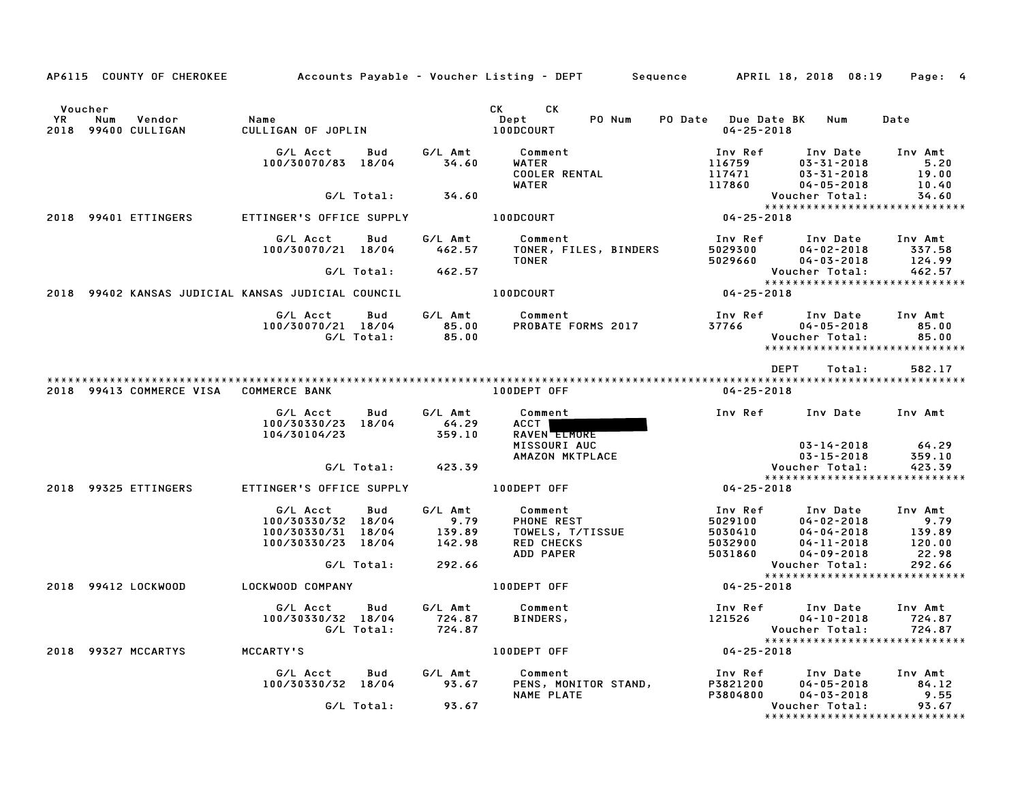| AP6115 COUNTY OF CHEROKEE                                 |                                                                                   |                                     | Accounts Payable – Voucher Listing – DEPT         Sequence         APRIL 18, 2018  08:19                                                                                                                                                                             |                                                                                                                                                 | Page: 4                                      |
|-----------------------------------------------------------|-----------------------------------------------------------------------------------|-------------------------------------|----------------------------------------------------------------------------------------------------------------------------------------------------------------------------------------------------------------------------------------------------------------------|-------------------------------------------------------------------------------------------------------------------------------------------------|----------------------------------------------|
| Voucher<br>YR.<br>Vendor<br>Num<br>2018<br>99400 CULLIGAN | Name<br>CULLIGAN OF JOPLIN                                                        |                                     | CK the control of the control of the control of the control of the control of the control of the control of the control of the control of the control of the control of the control of the control of the control of the contr<br>CK.<br>PO Num<br>Dept<br>100DCOURT | PO Date Due Date BK Num<br>$04 - 25 - 2018$                                                                                                     | Date                                         |
|                                                           | G/L Acct<br>Bud<br>100/30070/83 18/04                                             | G/L Amt<br>34.60                    | Comment<br>WATER<br><b>COOLER RENTAL</b><br>WATER                                                                                                                                                                                                                    | Inv Ref<br>Inv Date<br>116759<br>$03 - 31 - 2018$<br>117471<br>$03 - 31 - 2018$<br>117860<br>$04 - 05 - 2018$                                   | Inv Amt<br>5.20<br>19.00<br>10.40            |
|                                                           | G/L Total:                                                                        | 34.60                               |                                                                                                                                                                                                                                                                      | Voucher Total:                                                                                                                                  | 34.60                                        |
| 2018 99401 ETTINGERS                                      | ETTINGER'S OFFICE SUPPLY                                                          |                                     | 100DCOURT                                                                                                                                                                                                                                                            | *****************************<br>04-25-2018                                                                                                     |                                              |
|                                                           | G/L Acct<br>Bud<br>100/30070/21 18/04                                             | G/L Amt<br>462.57                   | Comment<br>TONER, FILES, BINDERS<br><b>TONER</b>                                                                                                                                                                                                                     | Inv Ref<br>Inv Date<br>5029300<br>$04 - 02 - 2018$<br>5029660<br>$04 - 03 - 2018$                                                               | Inv Amt<br>337.58<br>124.99                  |
|                                                           | G/L Total:                                                                        | 462.57                              |                                                                                                                                                                                                                                                                      | Voucher Total:                                                                                                                                  | 462.57                                       |
| 2018 99402 KANSAS JUDICIAL KANSAS JUDICIAL COUNCIL        |                                                                                   |                                     | 100DCOURT                                                                                                                                                                                                                                                            | *****************************<br>$04 - 25 - 2018$                                                                                               |                                              |
|                                                           | G/L Acct<br>Bud<br>100/30070/21 18/04<br>G/L Total:                               | G/L Amt<br>85.00<br>85.00           | Comment<br>PROBATE FORMS 2017                                                                                                                                                                                                                                        | Inv Ref<br>Inv Date<br>37766<br>$04 - 05 - 2018$<br>Voucher Total:<br>*****************************                                             | Inv Amt<br>85.00<br>85.00                    |
|                                                           |                                                                                   |                                     |                                                                                                                                                                                                                                                                      | <b>DEPT</b><br>Total:                                                                                                                           | 582.17                                       |
| 2018 99413 COMMERCE VISA COMMERCE BANK                    |                                                                                   |                                     | 100DEPT OFF                                                                                                                                                                                                                                                          | $04 - 25 - 2018$                                                                                                                                |                                              |
|                                                           | G/L Acct<br>Bud<br>100/30330/23 18/04<br>104/30104/23                             | G/L Amt<br>64.29<br>359.10          | Comment<br>ACCT  <br>RAVEN ELMORE<br>MISSOURI AUC                                                                                                                                                                                                                    | Inv Ref<br>Inv Date<br>$03 - 14 - 2018$                                                                                                         | Inv Amt<br>64.29                             |
|                                                           | G/L Total:                                                                        | 423.39                              | AMAZON MKTPLACE                                                                                                                                                                                                                                                      | $03 - 15 - 2018$<br>Voucher Total:                                                                                                              | 359.10<br>423.39                             |
| 2018 99325 ETTINGERS                                      | ETTINGER'S OFFICE SUPPLY                                                          |                                     | 100DEPT OFF                                                                                                                                                                                                                                                          | *****************************<br>$04 - 25 - 2018$                                                                                               |                                              |
|                                                           | G/L Acct<br>Bud<br>100/30330/32 18/04<br>100/30330/31 18/04<br>100/30330/23 18/04 | G/L Amt<br>9.79<br>139.89<br>142.98 | Comment<br>PHONE REST<br>TOWELS, T/TISSUE<br><b>RED CHECKS</b><br>ADD PAPER                                                                                                                                                                                          | Inv Ref<br>Inv Date<br>5029100<br>$04 - 02 - 2018$<br>5030410<br>$04 - 04 - 2018$<br>5032900<br>$04 - 11 - 2018$<br>5031860<br>$04 - 09 - 2018$ | Inv Amt<br>9.79<br>139.89<br>120.00<br>22.98 |
|                                                           | G/L Total:                                                                        | 292.66                              |                                                                                                                                                                                                                                                                      | Voucher Total:                                                                                                                                  | 292.66                                       |
| 2018 99412 LOCKWOOD                                       | LOCKWOOD COMPANY                                                                  |                                     | 100DEPT OFF                                                                                                                                                                                                                                                          | ******************************<br>$04 - 25 - 2018$                                                                                              |                                              |
|                                                           | G/L Acct<br>Bud<br>100/30330/32 18/04<br>G/L Total:                               | G/L Amt<br>724.87<br>724.87         | Comment<br><b>BINDERS,</b>                                                                                                                                                                                                                                           | Inv Ref<br>Inv Date<br>121526<br>$04 - 10 - 2018$<br>Voucher Total:<br>*****************************                                            | Inv Amt<br>724.87<br>724.87                  |
| 2018 99327 MCCARTYS                                       | MCCARTY'S                                                                         |                                     | 100DEPT OFF                                                                                                                                                                                                                                                          | $04 - 25 - 2018$                                                                                                                                |                                              |
|                                                           | G/L Acct<br><b>Bud</b><br>100/30330/32 18/04                                      | G/L Amt<br>93.67                    | Comment<br>PENS, MONITOR STAND,<br>NAME PLATE                                                                                                                                                                                                                        | Inv Ref<br>Inv Date<br>P3821200<br>$04 - 05 - 2018$<br>P3804800<br>$04 - 03 - 2018$                                                             | Inv Amt<br>84.12<br>9.55                     |
|                                                           | G/L Total:                                                                        | 93.67                               |                                                                                                                                                                                                                                                                      | Voucher Total:<br>*****************************                                                                                                 | 93.67                                        |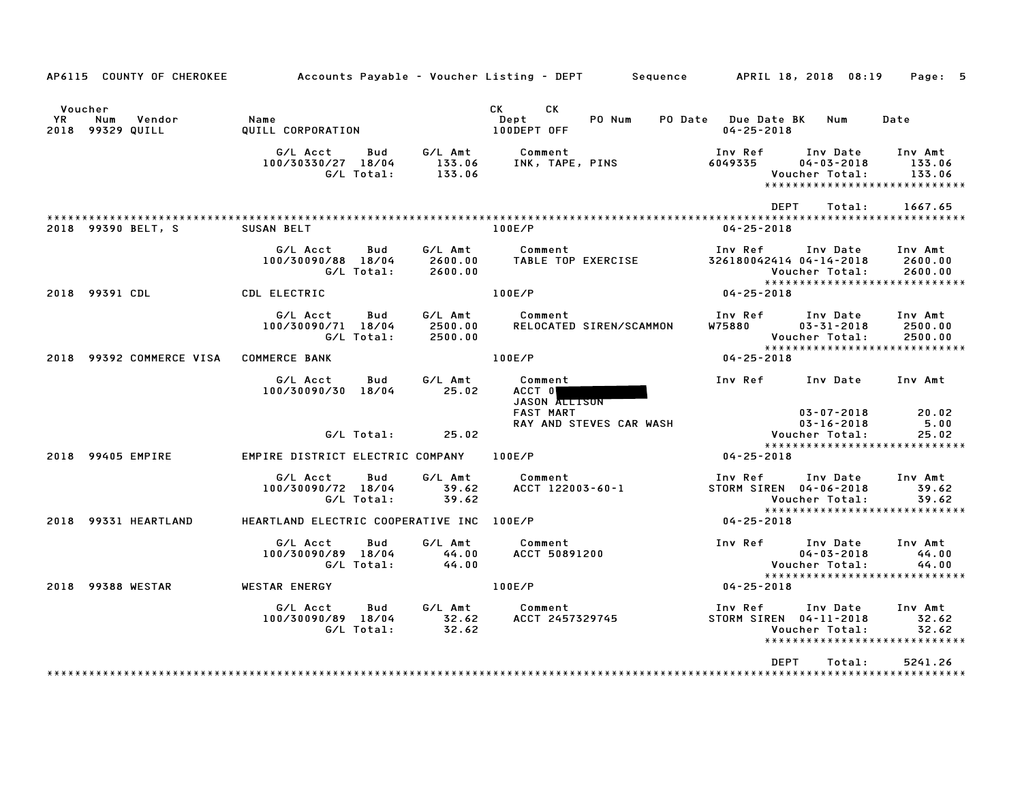| AP6115 COUNTY OF CHEROKEE                          |                                                     |                               | Accounts Payable – Voucher Listing – DEPT         Sequence         APRIL 18, 2018  08:19 |                                                                                                       | Page: 5                        |
|----------------------------------------------------|-----------------------------------------------------|-------------------------------|------------------------------------------------------------------------------------------|-------------------------------------------------------------------------------------------------------|--------------------------------|
| Voucher<br>YR<br>Num<br>Vendor<br>2018 99329 QUILL | Name<br>QUILL CORPORATION                           |                               | <b>CK</b><br>CK<br>PO Num<br>Dept<br>100DEPT OFF                                         | PO Date Due Date BK<br>Num<br>$04 - 25 - 2018$                                                        | Date                           |
|                                                    | G/L Acct<br>Bud<br>100/30330/27 18/04<br>G/L Total: | G/L Amt<br>133.06<br>133.06   | Comment<br>INK, TAPE, PINS                                                               | Inv Ref<br>Inv Date<br>6049335<br>$04 - 03 - 2018$<br>Voucher Total:<br>***************************** | Inv Amt<br>133.06<br>133.06    |
|                                                    |                                                     |                               |                                                                                          | <b>DEPT</b><br>Total:                                                                                 | 1667.65                        |
| 2018 99390 BELT, S                                 | <b>SUSAN BELT</b>                                   |                               | 100E/P                                                                                   | $04 - 25 - 2018$                                                                                      |                                |
|                                                    | G/L Acct<br>Bud<br>100/30090/88 18/04<br>G/L Total: | G/L Amt<br>2600.00<br>2600.00 | Comment<br>TABLE TOP EXERCISE                                                            | Inv Ref<br>Inv Date<br>326180042414 04-14-2018<br>Voucher Total:                                      | Inv Amt<br>2600.00<br>2600.00  |
| 2018 99391 CDL                                     | CDL ELECTRIC                                        |                               | 100E/P                                                                                   | *****************************<br>$04 - 25 - 2018$                                                     |                                |
|                                                    | G/L Acct<br>Bud<br>100/30090/71 18/04<br>G/L Total: | G/L Amt<br>2500.00<br>2500.00 | Comment<br>RELOCATED SIREN/SCAMMON                                                       | Inv Ref<br>Inv Date<br>W75880<br>$03 - 31 - 2018$<br>Voucher Total:<br>*****************************  | Inv Amt<br>2500.00<br>2500.00  |
| 2018 99392 COMMERCE VISA                           | <b>COMMERCE BANK</b>                                |                               | 100E/P                                                                                   | 04-25-2018                                                                                            |                                |
|                                                    | G/L Acct<br>Bud<br>100/30090/30 18/04               | G/L Amt<br>25.02              | Comment<br>ACCT 0<br>JASON ALLISON<br><b>FAST MART</b>                                   | Inv Ref<br>Inv Date<br>$03 - 07 - 2018$                                                               | Inv Amt<br>20.02               |
|                                                    | G/L Total:                                          | 25.02                         | RAY AND STEVES CAR WASH                                                                  | $03 - 16 - 2018$<br>Voucher Total:                                                                    | 5.00<br>25.02                  |
| 2018 99405 EMPIRE                                  |                                                     |                               | 100E/P                                                                                   | *****************************<br>$04 - 25 - 2018$                                                     |                                |
|                                                    | EMPIRE DISTRICT ELECTRIC COMPANY                    |                               |                                                                                          |                                                                                                       |                                |
|                                                    | G/L Acct<br>Bud<br>100/30090/72 18/04<br>G/L Total: | G/L Amt<br>39.62<br>39.62     | Comment<br>ACCT 122003-60-1                                                              | Inv Ref<br>Inv Date<br>STORM SIREN 04-06-2018<br>Voucher Total:                                       | Inv Amt<br>39.62<br>39.62      |
| 2018 99331 HEARTLAND                               | HEARTLAND ELECTRIC COOPERATIVE INC 100E/P           |                               |                                                                                          | *****************************<br>04-25-2018                                                           |                                |
|                                                    | G/L Acct<br>Bud<br>100/30090/89 18/04<br>G/L Total: | G/L Amt<br>44.00<br>44.00     | Comment<br><b>ACCT 50891200</b>                                                          | Inv Ref<br>Inv Date<br>$04 - 03 - 2018$<br>Voucher Total:                                             | Inv Amt<br>44.00<br>44.00      |
| 2018 99388 WESTAR                                  | WESTAR ENERGY                                       |                               | 100E/P                                                                                   | ******************************<br>04-25-2018                                                          |                                |
|                                                    | Bud<br>G/L Acct<br>100/30090/89 18/04<br>G/L Total: | G/L Amt<br>32.62<br>32.62     | Comment<br>ACCT 2457329745                                                               | Inv Ref<br>Inv Date<br>STORM SIREN 04-11-2018<br>Voucher Total:<br>*****************************      | Inv Amt<br>32.62<br>32.62      |
|                                                    |                                                     |                               |                                                                                          | <b>DEPT</b><br>Total:                                                                                 | 5241.26<br>* * * * * * * * * * |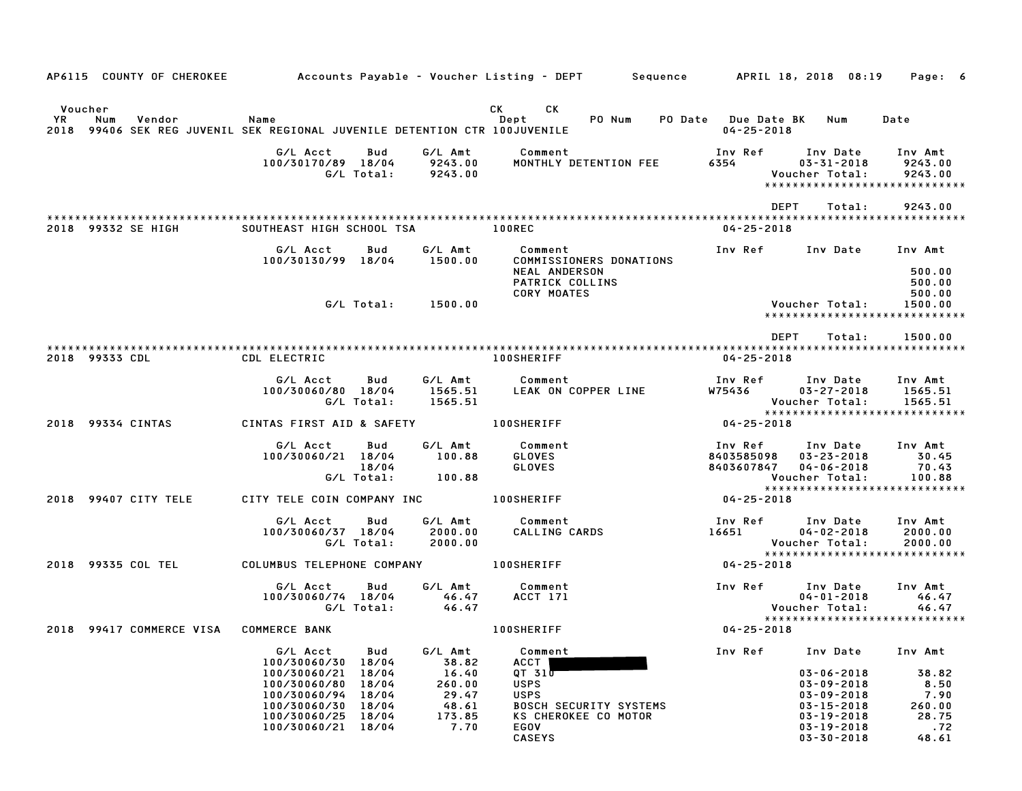| AP6115 COUNTY OF CHEROKEE                                                                                    |                                              |                                      | Accounts Payable – Voucher Listing – DEPT – Sequence – APRIL 18, 2018 08:19 |                                             |                                           | Page: 6                                  |
|--------------------------------------------------------------------------------------------------------------|----------------------------------------------|--------------------------------------|-----------------------------------------------------------------------------|---------------------------------------------|-------------------------------------------|------------------------------------------|
|                                                                                                              |                                              |                                      |                                                                             |                                             |                                           |                                          |
| Voucher<br>YR<br>Num<br>Vendor<br>2018 99406 SEK REG JUVENIL SEK REGIONAL JUVENILE DETENTION CTR 100JUVENILE | Name                                         |                                      | CK<br>CK<br>PO Num<br>Dept                                                  | PO Date Due Date BK Num<br>$04 - 25 - 2018$ |                                           | Date                                     |
|                                                                                                              |                                              |                                      |                                                                             |                                             |                                           |                                          |
|                                                                                                              | G/L Acct<br>100/30170/89 18/04<br>G/L Total: | G/L Amt<br>Bud<br>9243.00<br>9243.00 | Comment<br>MONTHLY DETENTION FEE                                            | Inv Ref Inv Date<br>6354                    | $03 - 31 - 2018$<br>Voucher Total:        | Inv Amt<br>9243.00<br>9243.00            |
|                                                                                                              |                                              |                                      |                                                                             |                                             |                                           | *****************************            |
|                                                                                                              |                                              |                                      |                                                                             | <b>DEPT</b>                                 | Total:                                    | 9243.00                                  |
| 2018 99332 SE HIGH                                                                                           | SOUTHEAST HIGH SCHOOL TSA                    |                                      | <b>100REC</b>                                                               | 04-25-2018                                  |                                           |                                          |
|                                                                                                              | G/L Acct<br>100/30130/99 18/04               | G/L Amt<br>Bud<br>1500.00            | Comment<br>COMMISSIONERS DONATIONS                                          | Inv Ref                                     | Inv Date                                  | Inv Amt                                  |
|                                                                                                              |                                              |                                      | <b>NEAL ANDERSON</b><br>PATRICK COLLINS                                     |                                             |                                           | 500.00<br>500.00                         |
|                                                                                                              |                                              | G/L Total: 1500.00                   | <b>CORY MOATES</b>                                                          |                                             |                                           | 500.00                                   |
|                                                                                                              |                                              |                                      |                                                                             |                                             | Voucher Total:                            | 1500.00<br>***************************** |
|                                                                                                              |                                              |                                      |                                                                             | DEPT                                        | Total:                                    | 1500.00                                  |
| 2018 99333 CDL                                                                                               | CDL ELECTRIC                                 |                                      | <b>100SHERIFF</b>                                                           | $04 - 25 - 2018$                            |                                           |                                          |
|                                                                                                              |                                              |                                      | Comment                                                                     |                                             |                                           |                                          |
|                                                                                                              | G/L Acct<br>100/30060/80 18/04<br>G/L Total: | G/L Amt<br>Bud<br>1565.51<br>1565.51 | LEAK ON COPPER LINE                                                         | Inv Ref      Inv Date<br><b>W75436</b>      | $03 - 27 - 2018$<br>Voucher Total:        | Inv Amt<br>1565.51<br>1565.51            |
| 2018 99334 CINTAS                                                                                            | CINTAS FIRST AID & SAFETY 100SHERIFF         |                                      |                                                                             | 04-25-2018                                  |                                           | ******************************           |
|                                                                                                              |                                              |                                      |                                                                             |                                             |                                           |                                          |
|                                                                                                              | G/L Acct<br>100/30060/21 18/04               | G/L Amt<br>Bud<br>100.88             | Comment<br>GLOVES                                                           | 8403585098                                  | Inv Ref      Inv Date<br>$03 - 23 - 2018$ | Inv Amt<br>30.45                         |
|                                                                                                              | G/L Total:                                   | 18/04<br>100.88                      | <b>GLOVES</b>                                                               | 8403607847                                  | $04 - 06 - 2018$<br>Voucher Total:        | 70.43<br>100.88                          |
|                                                                                                              |                                              |                                      |                                                                             |                                             |                                           | *****************************            |
| 2018 99407 CITY TELE                                                                                         | CITY TELE COIN COMPANY INC 100SHERIFF        |                                      |                                                                             | $04 - 25 - 2018$                            |                                           |                                          |
|                                                                                                              | G/L Acct<br>100/30060/37 18/04               | G/L Amt<br>Bud<br>2000.00            | Comment<br>CALLING CARDS                                                    | Inv Ref Inv Date<br>16651                   | $04 - 02 - 2018$                          | Inv Amt<br>2000.00                       |
|                                                                                                              | G/L Total:                                   | 2000.00                              |                                                                             |                                             | Voucher Total:                            | 2000.00                                  |
| 2018 99335 COL TEL                                                                                           | COLUMBUS TELEPHONE COMPANY 100SHERIFF        |                                      |                                                                             | 04-25-2018                                  |                                           | *****************************            |
|                                                                                                              | G/L Acct                                     | G/L Amt<br>Bud                       | Comment                                                                     |                                             | Inv Ref Inv Date                          | Inv Amt                                  |
|                                                                                                              | 100/30060/74 18/04<br>G/L Total:             | 46.47<br>46.47                       | <b>ACCT 171</b>                                                             |                                             | $04 - 01 - 2018$<br>Voucher Total:        | 46.47<br>46.47                           |
|                                                                                                              |                                              |                                      |                                                                             |                                             |                                           | *****************************            |
| 2018 99417 COMMERCE VISA                                                                                     | <b>COMMERCE BANK</b>                         |                                      | <b>100SHERIFF</b>                                                           | $04 - 25 - 2018$                            |                                           |                                          |
|                                                                                                              | G/L Acct<br>100/30060/30                     | G/L Amt<br>Bud<br>18/04<br>38.82     | Comment<br><b>ACCT</b>                                                      | Inv Ref                                     | Inv Date                                  | Inv Amt                                  |
|                                                                                                              | 100/30060/21                                 | 18/04<br>16.40                       | QT <sub>31</sub>                                                            |                                             | 03-06-2018                                | 38.82                                    |
|                                                                                                              | 100/30060/80                                 | 260.00<br>18/04                      | <b>USPS</b>                                                                 |                                             | $03 - 09 - 2018$                          | 8.50                                     |
|                                                                                                              | 100/30060/94<br>100/30060/30                 | 29.47<br>18/04<br>48.61<br>18/04     | <b>USPS</b><br><b>BOSCH SECURITY SYSTEMS</b>                                |                                             | $03 - 09 - 2018$<br>$03 - 15 - 2018$      | 7.90<br>260.00                           |
|                                                                                                              | 100/30060/25                                 | 18/04<br>173.85                      | KS CHEROKEE CO MOTOR                                                        |                                             | $03 - 19 - 2018$                          | 28.75                                    |
|                                                                                                              | 100/30060/21 18/04                           | 7.70                                 | EGOV                                                                        |                                             | $03 - 19 - 2018$                          | .72                                      |
|                                                                                                              |                                              |                                      | <b>CASEYS</b>                                                               |                                             | $03 - 30 - 2018$                          | 48.61                                    |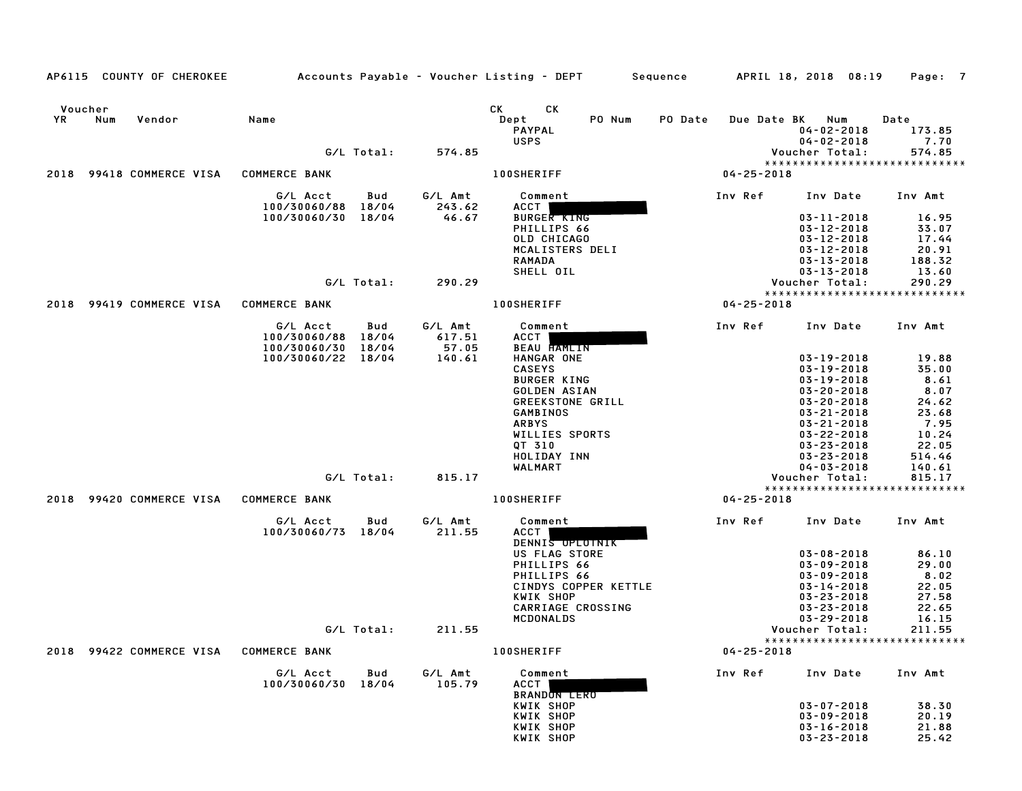| AP6115 COUNTY OF CHEROKEE      |                                                      |                                   | Accounts Payable – Voucher Listing – DEPT         Sequence         APRIL 18, 2018  08:19 |                  |                                                                           | Page: 7                          |
|--------------------------------|------------------------------------------------------|-----------------------------------|------------------------------------------------------------------------------------------|------------------|---------------------------------------------------------------------------|----------------------------------|
| Voucher<br>YR<br>Num<br>Vendor | Name<br>G/L Total:                                   | 574.85                            | CK CK<br>PO Num<br>Dept<br><b>PAYPAL</b><br><b>USPS</b>                                  | PO Date          | Due Date BK Num<br>$04 - 02 - 2018$<br>$04 - 02 - 2018$<br>Voucher Total: | Date<br>173.85<br>7.70<br>574.85 |
|                                |                                                      |                                   |                                                                                          |                  |                                                                           | *****************************    |
| 2018 99418 COMMERCE VISA       | <b>COMMERCE BANK</b>                                 |                                   | <b>100SHERIFF</b>                                                                        | $04 - 25 - 2018$ |                                                                           |                                  |
|                                | G/L Acct<br>100/30060/88 18/04                       | G/L Amt<br>Bud<br>243.62          | Comment<br>ACCT                                                                          | Inv Ref          | Inv Date Inv Amt                                                          |                                  |
|                                | 100/30060/30 18/04                                   | 46.67                             | <b>BURGER KING</b><br>PHILLIPS 66                                                        |                  | $03 - 11 - 2018$<br>$03 - 12 - 2018$                                      | 16.95<br>33.07                   |
|                                |                                                      |                                   | OLD CHICAGO                                                                              |                  | $03 - 12 - 2018$                                                          | 17.44                            |
|                                |                                                      |                                   | MCALISTERS DELI                                                                          |                  | $03 - 12 - 2018$                                                          | 20.91                            |
|                                |                                                      |                                   | <b>RAMADA</b><br>SHELL OIL                                                               |                  | $03 - 13 - 2018$<br>$03 - 13 - 2018$                                      | 188.32<br>13.60                  |
|                                | G/L Total:                                           | 290.29                            |                                                                                          |                  | Voucher Total:                                                            | 290.29                           |
|                                |                                                      |                                   |                                                                                          |                  |                                                                           | *****************************    |
| 2018 99419 COMMERCE VISA       | <b>COMMERCE BANK</b>                                 |                                   | <b>100SHERIFF</b>                                                                        | 04-25-2018       |                                                                           |                                  |
|                                | G/L Acct<br>100/30060/88 18/04<br>100/30060/30 18/04 | G/L Amt<br>Bud<br>617.51<br>57.05 | Comment<br><b>ACCT</b><br>BEAU FAMEIN                                                    | Inv Ref          | Inv Date                                                                  | Inv Amt                          |
|                                | 100/30060/22 18/04                                   | 140.61                            | HANGAR ONE                                                                               |                  | $03 - 19 - 2018$                                                          | 19.88                            |
|                                |                                                      |                                   | <b>CASEYS</b>                                                                            |                  | $03 - 19 - 2018$                                                          | 35.00                            |
|                                |                                                      |                                   | <b>BURGER KING</b>                                                                       |                  | $03 - 19 - 2018$                                                          | 8.61<br>8.07                     |
|                                |                                                      |                                   | GOLDEN ASIAN<br>GREEKSTONE GRILL                                                         |                  | $03 - 20 - 2018$<br>$03 - 20 - 2018$                                      | 24.62                            |
|                                |                                                      |                                   | GAMBINOS                                                                                 |                  | $03 - 21 - 2018$                                                          | 23.68                            |
|                                |                                                      |                                   | <b>ARBYS</b>                                                                             |                  | $03 - 21 - 2018$                                                          | 7.95                             |
|                                |                                                      |                                   | WILLIES SPORTS                                                                           |                  | $03 - 22 - 2018$                                                          | 10.24                            |
|                                |                                                      |                                   | QT 310<br>HOLIDAY INN                                                                    |                  | $03 - 23 - 2018$<br>$03 - 23 - 2018$                                      | 22.05<br>514.46                  |
|                                |                                                      |                                   | WALMART                                                                                  |                  | $04 - 03 - 2018$                                                          | 140.61                           |
|                                | G/L Total:                                           | 815.17                            |                                                                                          |                  | Voucher Total:                                                            | 815.17                           |
|                                |                                                      |                                   |                                                                                          |                  |                                                                           | *****************************    |
| 2018 99420 COMMERCE VISA       | <b>COMMERCE BANK</b>                                 |                                   | <b>100SHERIFF</b>                                                                        | $04 - 25 - 2018$ |                                                                           |                                  |
|                                | G/L Acct<br>100/30060/73 18/04                       | G/L Amt<br>Bud<br>211.55          | Comment<br><b>ACCT</b><br>DENNIS UPLUINIK<br>US FLAG STORE                               | Inv Ref          | Inv Date<br>$03 - 08 - 2018$                                              | Inv Amt<br>86.10                 |
|                                |                                                      |                                   | PHILLIPS 66                                                                              |                  | $03 - 09 - 2018$                                                          | 29.00                            |
|                                |                                                      |                                   | PHILLIPS 66                                                                              |                  | $03 - 09 - 2018$                                                          | 8.02                             |
|                                |                                                      |                                   | CINDYS COPPER KETTLE                                                                     |                  | $03 - 14 - 2018$                                                          | 22.05                            |
|                                |                                                      |                                   | KWIK SHOP                                                                                |                  | $03 - 23 - 2018$                                                          | 27.58                            |
|                                |                                                      |                                   | CARRIAGE CROSSING                                                                        |                  | $03 - 23 - 2018$                                                          | 22.65<br>16.15                   |
|                                | G/L Total:                                           | 211.55                            | MCDONALDS                                                                                |                  | $03 - 29 - 2018$<br>Voucher Total:                                        | 211.55                           |
|                                |                                                      |                                   |                                                                                          |                  |                                                                           | *****************************    |
| 2018 99422 COMMERCE VISA       | <b>COMMERCE BANK</b>                                 |                                   | <b>100SHERIFF</b>                                                                        | $04 - 25 - 2018$ |                                                                           |                                  |
|                                | G/L Acct<br>100/30060/30 18/04                       | Bud<br>G/L Amt<br>105.79          | Comment<br>ACCT<br><b>BRANDON LERO</b>                                                   | Inv Ref          | Inv Date                                                                  | Inv Amt                          |
|                                |                                                      |                                   | KWIK SHOP                                                                                |                  | $03 - 07 - 2018$                                                          | 38.30                            |
|                                |                                                      |                                   | KWIK SHOP<br>KWIK SHOP                                                                   |                  | $03 - 09 - 2018$<br>$03 - 16 - 2018$                                      | 20.19<br>21.88                   |
|                                |                                                      |                                   | KWIK SHOP                                                                                |                  | $03 - 23 - 2018$                                                          | 25.42                            |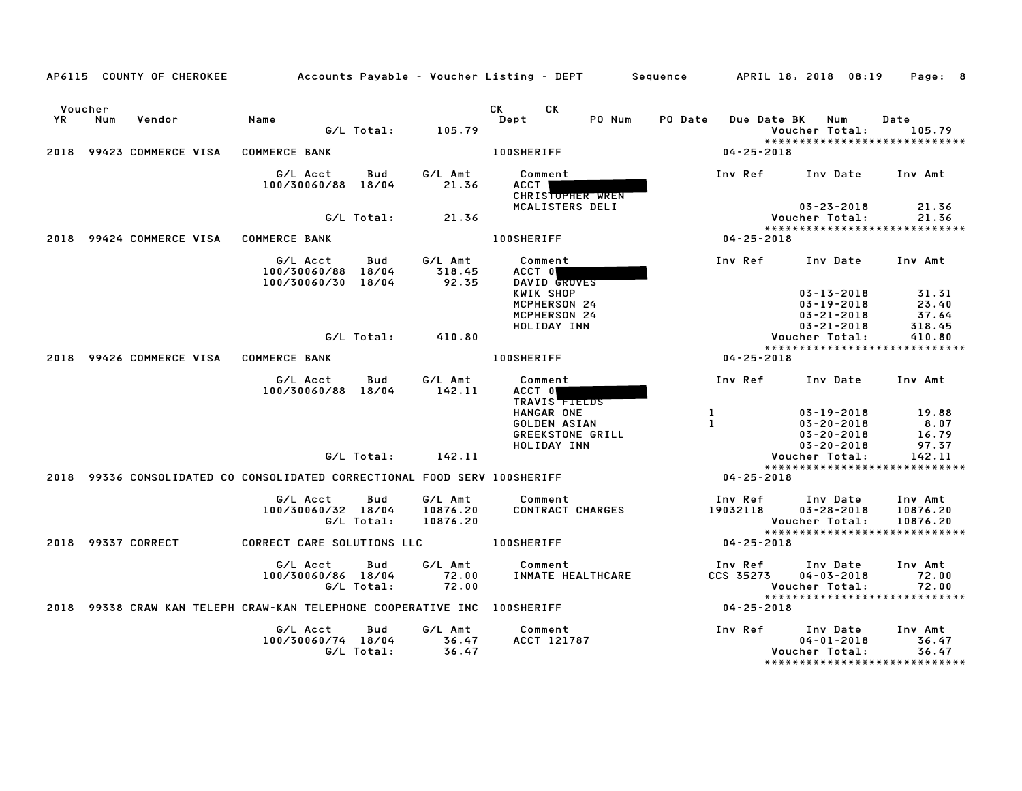|               |     | AP6115 COUNTY OF CHEROKEE              | Accounts Payable – Voucher Listing – DEPT         Sequence                |                   |                                 |                                                          |        |          |                      | APRIL 18, 2018 08:19                                                         | Page: 8                                                          |
|---------------|-----|----------------------------------------|---------------------------------------------------------------------------|-------------------|---------------------------------|----------------------------------------------------------|--------|----------|----------------------|------------------------------------------------------------------------------|------------------------------------------------------------------|
| Voucher<br>YR | Num | Vendor                                 | Name                                                                      | G/L Total:        | 105.79                          | CK<br>CK.<br>Dept                                        | PO Num | PO Date  | Due Date BK          | Num<br>Voucher Total:                                                        | Date<br>105.79<br>*****************************                  |
| 2018          |     | 99423 COMMERCE VISA                    | <b>COMMERCE BANK</b>                                                      |                   |                                 | <b>100SHERIFF</b>                                        |        |          | $04 - 25 - 2018$     |                                                                              |                                                                  |
|               |     |                                        | G/L Acct<br>100/30060/88 18/04                                            | Bud               | G/L Amt<br>21.36                | Comment<br><b>ACCT</b><br>CHRISTOPHER WREN               |        | Inv Ref  |                      | Inv Date                                                                     | Inv Amt                                                          |
|               |     |                                        |                                                                           | G/L Total:        | 21.36                           | MCALISTERS DELI                                          |        |          |                      | $03 - 23 - 2018$<br>Voucher Total:                                           | 21.36<br>21.36                                                   |
|               |     |                                        |                                                                           |                   |                                 |                                                          |        |          |                      |                                                                              | *****************************                                    |
|               |     | 2018 99424 COMMERCE VISA COMMERCE BANK |                                                                           |                   |                                 | <b>100SHERIFF</b>                                        |        |          | $04 - 25 - 2018$     |                                                                              |                                                                  |
|               |     |                                        | G/L Acct<br>100/30060/88 18/04<br>100/30060/30 18/04                      | Bud               | G/L Amt<br>318.45<br>92.35      | Comment<br>ACCT O<br>DAVID GROVES                        |        | Inv Ref  |                      | Inv Date                                                                     | Inv Amt                                                          |
|               |     |                                        |                                                                           |                   |                                 | KWIK SHOP<br>MCPHERSON 24<br>MCPHERSON 24<br>HOLIDAY INN |        |          |                      | $03 - 13 - 2018$<br>$03 - 19 - 2018$<br>$03 - 21 - 2018$<br>$03 - 21 - 2018$ | 31.31<br>23.40<br>37.64<br>318.45                                |
|               |     |                                        |                                                                           | G/L Total:        | 410.80                          |                                                          |        |          |                      | Voucher Total:                                                               | 410.80                                                           |
|               |     | 2018 99426 COMMERCE VISA               | <b>COMMERCE BANK</b>                                                      |                   |                                 | <b>100SHERIFF</b>                                        |        |          | $04 - 25 - 2018$     |                                                                              | *****************************                                    |
|               |     |                                        | G/L Acct                                                                  | Bud               | G/L Amt                         | Comment                                                  |        | Inv Ref  |                      | Inv Date                                                                     | Inv Amt                                                          |
|               |     |                                        | 100/30060/88 18/04                                                        |                   | 142.11                          | ACCT 0<br>TRAVIS TTELDS<br>HANGAR ONE                    |        | -1       |                      | $03 - 19 - 2018$                                                             | 19.88                                                            |
|               |     |                                        |                                                                           |                   |                                 | GOLDEN ASIAN<br>GREEKSTONE GRILL                         |        | -1       |                      | $03 - 20 - 2018$<br>$03 - 20 - 2018$                                         | 8.07<br>16.79                                                    |
|               |     |                                        |                                                                           | G/L Total:        | 142.11                          | HOLIDAY INN                                              |        |          |                      | $03 - 20 - 2018$<br>Voucher Total:                                           | 97.37<br>142.11                                                  |
|               |     |                                        | 2018 99336 CONSOLIDATED CO CONSOLIDATED CORRECTIONAL FOOD SERV 100SHERIFF |                   |                                 |                                                          |        |          | 04-25-2018           |                                                                              | *****************************                                    |
|               |     |                                        | G/L Acct<br>100/30060/32 18/04                                            | Bud<br>G/L Total: | G/L Amt<br>10876.20<br>10876.20 | Comment<br>CONTRACT CHARGES                              |        | 19032118 | Inv Ref              | Inv Date<br>$03 - 28 - 2018$<br>Voucher Total:                               | Inv Amt<br>10876.20<br>10876.20<br>***************************** |
|               |     | 2018 99337 CORRECT                     | CORRECT CARE SOLUTIONS LLC <b>100SHERIFF</b>                              |                   |                                 |                                                          |        |          | $04 - 25 - 2018$     |                                                                              |                                                                  |
|               |     |                                        | G/L Acct<br>100/30060/86 18/04                                            | Bud<br>G/L Total: | G/L Amt<br>72.00<br>72.00       | Comment<br>INMATE HEALTHCARE                             |        |          | Inv Ref<br>CCS 35273 | Inv Date<br>$04 - 03 - 2018$<br>Voucher Total:                               | Inv Amt<br>72.00<br>72.00<br>*****************************       |
|               |     |                                        | 2018 99338 CRAW KAN TELEPH CRAW-KAN TELEPHONE COOPERATIVE INC 100SHERIFF  |                   |                                 |                                                          |        |          | $04 - 25 - 2018$     |                                                                              |                                                                  |
|               |     |                                        | G/L Acct<br>100/30060/74 18/04                                            | Bud<br>G/L Total: | G/L Amt<br>36.47<br>36.47       | Comment<br>ACCT 121787                                   |        | Inv Ref  |                      | Inv Date<br>$04 - 01 - 2018$<br>Voucher Total:                               | Inv Amt<br>36.47<br>36.47<br>*****************************       |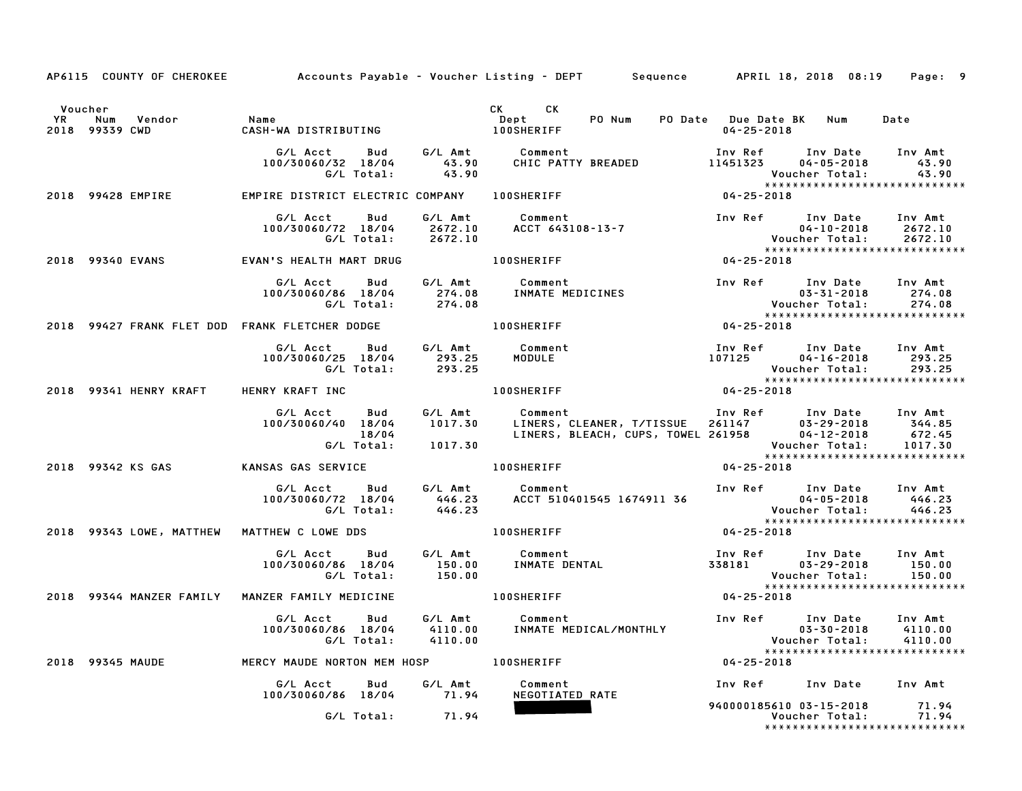|         |                                                                |                                                                                                      |             | AP6115 COUNTY OF CHEROKEE Accounts Payable – Voucher Listing – DEPT Sequence APRIL 18, 2018 08:19                                                                                          | Page: 9                                                                                                                                                                                                                                                                   |
|---------|----------------------------------------------------------------|------------------------------------------------------------------------------------------------------|-------------|--------------------------------------------------------------------------------------------------------------------------------------------------------------------------------------------|---------------------------------------------------------------------------------------------------------------------------------------------------------------------------------------------------------------------------------------------------------------------------|
| Voucher | Vendor Name<br>CWD CASH-W <i>I</i><br>YR Num<br>2018 99339 CWD |                                                                                                      |             | CK <sub>2</sub><br>CK.<br>PO Num                                                                                                                                                           | PO Date Due Date BK Num<br>Date<br>04-25-2018                                                                                                                                                                                                                             |
|         |                                                                | G/L Acct Bud G/L Amt Comment<br>100/30060/32 18/04 43.90 CHIC PATTY BREADE<br>G/L Total: 43.90       |             |                                                                                                                                                                                            | Inv Date Inv Amt<br>43.90<br>Voucher Total: 43.90<br>*******************************<br>04-25-2018                                                                                                                                                                        |
|         |                                                                | 2018 99428 EMPIRE FAPIRE DISTRICT ELECTRIC COMPANY LOOSHERIFF                                        |             |                                                                                                                                                                                            |                                                                                                                                                                                                                                                                           |
|         |                                                                | G/L Acct<br>Bud<br>100/30060/72 18/04 2672.10<br>G/L Total: 2672.10                                  | G/L Amt     | Comment<br>ACCT 6431                                                                                                                                                                       |                                                                                                                                                                                                                                                                           |
|         | 2018 99340 EVANS                                               |                                                                                                      |             |                                                                                                                                                                                            |                                                                                                                                                                                                                                                                           |
|         |                                                                | G/L Acct  Bud  G/L Amt  Comment<br>100/30060/86 18/04  274.08  INMATE MEDICINE<br>G/L Total:  274.08 |             | Comment<br>INMATE MEDICINES                                                                                                                                                                | Inv Ref Inv Date Inv Amt<br>274.08<br>03-31-2018<br>03-31-2018<br>: Voucher Total<br>*******************<br>04-25-2018<br>274.08<br>******************************                                                                                                        |
|         |                                                                | 2018 99427 FRANK FLET DOD FRANK FLETCHER DODGE THE RESIDENCE RESIDENCE.                              |             |                                                                                                                                                                                            |                                                                                                                                                                                                                                                                           |
|         |                                                                |                                                                                                      |             | G/L Acct Bud G/L Amt Comment Inv Ref Inv Date<br>100/30060/25 18/04 293.25 MODULE 107125 04-16-2018<br>G/L Total: 293.25 MODULE 107125 Voucher Total:<br>Vouv<br>*****<br>04-25-2018 04-25 | Inv Ref Inv Date<br>Inv Amt<br>293.25<br>293.25                                                                                                                                                                                                                           |
|         | 2018 99341 HENRY KRAFT HENRY KRAFT INC                         |                                                                                                      |             |                                                                                                                                                                                            |                                                                                                                                                                                                                                                                           |
|         |                                                                | G/L Total: 1017.30                                                                                   |             |                                                                                                                                                                                            | G/L Acct Bud G/L Amt Comment Inv Ref Inv Date Inv Amt<br>100/30060/40 18/04 1017.30 LINERS, CLEANER, T/TISSUE 261147 03-29-2018 344.85<br>18/04 LINERS, BLEACH, CUPS, TOWEL 261958 04-12-2018 672.45<br>G/L Total: 1017.30 Voucher Tota<br>****************************** |
|         |                                                                | 2018 99342 KS GAS             KANSAS GAS SERVICE                                                     |             | <b>100SHERIFF</b>                                                                                                                                                                          | $04 - 25 - 2018$                                                                                                                                                                                                                                                          |
|         |                                                                | G/L Total:                                                                                           | 446.23      |                                                                                                                                                                                            | Inv Amt<br>446.23<br>446.23<br>******************************                                                                                                                                                                                                             |
|         |                                                                | 2018 99343 LOWE, MATTHEW MATTHEW C LOWE DDS                                                          |             | 100SHERIFF 04-25-2018                                                                                                                                                                      |                                                                                                                                                                                                                                                                           |
|         |                                                                |                                                                                                      |             | G/L Acct Bud G/L Amt Comment 100/30060/86 18/04 150.00 INMATE DENTAL 100/30060/86 18/04 150.00 INMATE DENTAL 2<br>G/L Total: 150.00 INMATE DENTAL 338181 03-29-2018                        | Inv Ref Inv Date Inv Amt<br>150.00                                                                                                                                                                                                                                        |
|         |                                                                | 2018 99344 MANZER FAMILY MANZER FAMILY MEDICINE                                                      |             | 100SHERIFF                                                                                                                                                                                 |                                                                                                                                                                                                                                                                           |
|         |                                                                | G/L Acct Bud<br>100/30060/86 18/04<br>G/L Total:                                                     |             |                                                                                                                                                                                            | Inv Ref Inv Date Inv Amt<br>4110.00<br>4110.00<br>*****************************                                                                                                                                                                                           |
|         |                                                                | 2018 99345 MAUDE <b>MERCY MAUDE NORTON MEM HOSP</b> 100SHERIFF                                       |             |                                                                                                                                                                                            |                                                                                                                                                                                                                                                                           |
|         |                                                                | G/L Acct<br>100/30060/86 18/04 71.94                                                                 | Bud G/L Amt | Comment<br>NEGOTIATED RATE                                                                                                                                                                 | Inv Ref Inv Date Inv Amt                                                                                                                                                                                                                                                  |
|         |                                                                | G/L Total:                                                                                           | 71.94       |                                                                                                                                                                                            | 940000185610 03-15-2018 71.94<br>*****************************                                                                                                                                                                                                            |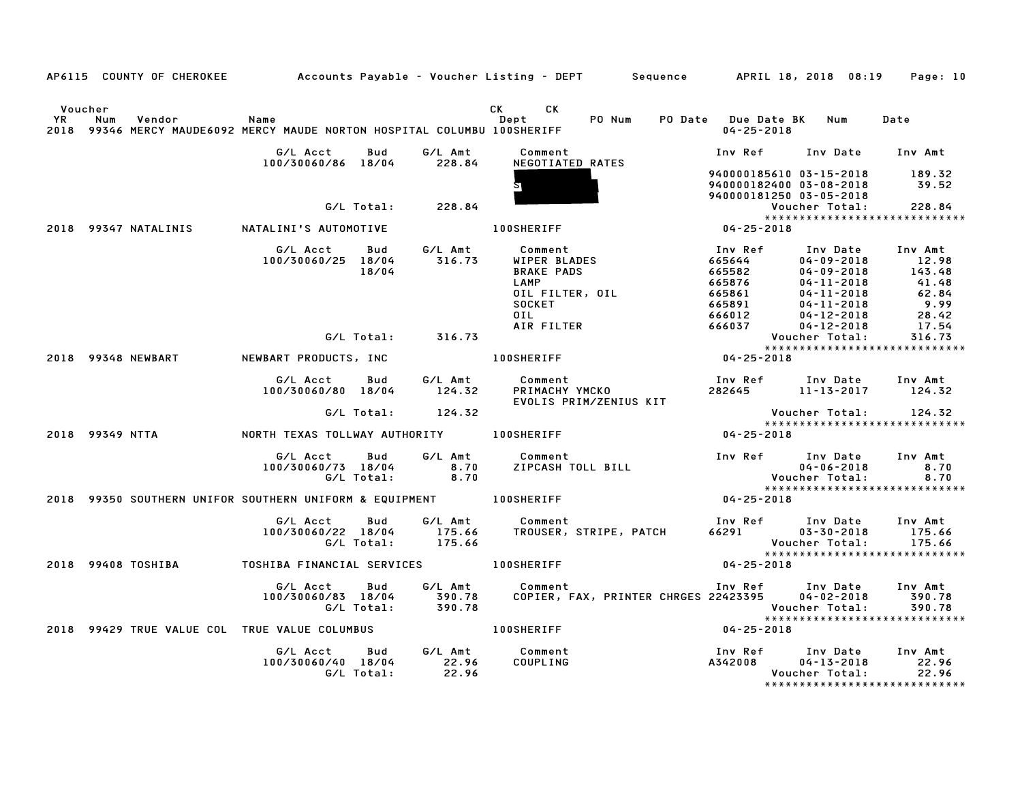|                      |                                                                                            |                                                   |                   |                   | AP6115 COUNTY OF CHEROKEE Accounts Payable - Voucher Listing - DEPT Sequence APRIL 18, 2018 08:19 Page: 10                                                |                                                                                                                                                |                                                                                                                                                  |                                                       |
|----------------------|--------------------------------------------------------------------------------------------|---------------------------------------------------|-------------------|-------------------|-----------------------------------------------------------------------------------------------------------------------------------------------------------|------------------------------------------------------------------------------------------------------------------------------------------------|--------------------------------------------------------------------------------------------------------------------------------------------------|-------------------------------------------------------|
| Voucher<br><b>YR</b> | Num<br>Vendor<br>2018 99346 MERCY MAUDE6092 MERCY MAUDE NORTON HOSPITAL COLUMBU 100SHERIFF | Name                                              |                   |                   | CK<br>CK<br>PO Num<br>Dept                                                                                                                                | PO Date Due Date BK Num<br>$04 - 25 - 2018$                                                                                                    |                                                                                                                                                  | Date                                                  |
|                      |                                                                                            | G/L Acct                                          | Bud               | G/L Amt           | Comment                                                                                                                                                   | Inv Ref Inv Date Inv Amt                                                                                                                       |                                                                                                                                                  |                                                       |
|                      |                                                                                            | 100/30060/86 18/04 228.84                         |                   |                   | NEGOTIATED RATES                                                                                                                                          | 940000185610 03-15-2018<br>940000182400 03-08-2018<br>940000181250 03-05-2018                                                                  |                                                                                                                                                  | 189.32<br>39.52                                       |
|                      |                                                                                            |                                                   | G/L Total:        | 228.84            |                                                                                                                                                           |                                                                                                                                                | Voucher Total:                                                                                                                                   | 228.84                                                |
|                      | 2018 99347 NATALINIS NATALINI'S AUTOMOTIVE                                                 |                                                   |                   |                   | <b>100SHERIFF</b>                                                                                                                                         | $04 - 25 - 2018$                                                                                                                               |                                                                                                                                                  | *****************************                         |
|                      |                                                                                            | G/L Acct<br>100/30060/25 18/04                    | Bud<br>18/04      |                   | G/L Amt          Comment<br>316.73       WIPER BLAD<br>WIPER BLADES<br><b>BRAKE PADS</b><br>LAMP<br>OIL FILTER, OIL<br><b>SOCKET</b><br>OIL<br>AIR FILTER | Inv Ref<br>$\begin{array}{r} 100 \text{ kpc} \\ 665644 \\ 665582 \\ 665876 \\ 665861 \\ 665891 \\ 666012 \\ 666037 \\ \text{M201} \end{array}$ | Inv Date Inv Amt<br>04-09-2018 12.98<br>04-09-2018<br>$04 - 11 - 2018$<br>04-11-2018<br>$04 - 11 - 2018$<br>$04 - 12 - 2018$<br>$04 - 12 - 2018$ | 143.48<br>$62.84$<br>$9.99$<br>9.99<br>28.42<br>17.54 |
|                      |                                                                                            |                                                   |                   | G/L Total: 316.73 |                                                                                                                                                           |                                                                                                                                                | Voucher Total:                                                                                                                                   | 316.73                                                |
|                      | 2018 99348 NEWBART                                                                         |                                                   |                   |                   | NEWBART PRODUCTS, INC <b>100SHERIFF</b>                                                                                                                   | $04 - 25 - 2018$                                                                                                                               |                                                                                                                                                  |                                                       |
|                      |                                                                                            | G/L Acct Bud G/L Amt<br>100/30060/80 18/04 124.32 |                   |                   | Comment<br>PRIMACHY YMCKO<br>EVOLIS PRIM/ZENIUS KIT                                                                                                       | Inv Ref       Inv Date     Inv Amt<br>282645          11-13-2017        124.32                                                                 |                                                                                                                                                  |                                                       |
|                      |                                                                                            |                                                   |                   | G/L Total: 124.32 |                                                                                                                                                           |                                                                                                                                                |                                                                                                                                                  | Voucher Total: 124.32<br>**************************** |
|                      | 2018 99349 NTTA                                                                            | NORTH TEXAS TOLLWAY AUTHORITY 100SHERIFF          |                   |                   |                                                                                                                                                           | $04 - 25 - 2018$                                                                                                                               |                                                                                                                                                  |                                                       |
|                      |                                                                                            | G/L Acct<br>100/30060/73 18/04                    | Bud<br>G/L Total: | 8.70<br>8.70      | G/L Amt Comment<br>Comment<br>ZIPCASH TOLL BILL                                                                                                           | Inv Ref Inv Date<br>04-06-2018<br>Voucher Total:                                                                                               |                                                                                                                                                  | Inv Amt<br>8.70<br>8.70                               |
|                      | 2018 99350 SOUTHERN UNIFOR SOUTHERN UNIFORM & EQUIPMENT 400SHERIFF                         |                                                   |                   |                   |                                                                                                                                                           | $04 - 25 - 2018$                                                                                                                               |                                                                                                                                                  | *****************************                         |
|                      |                                                                                            | G/L Acct<br>100/30060/22 18/04<br>G/L Total:      | Bud               | 175.66            | G/L Amt        Comment                               Inv Ref       Inv Date<br>175.66     TROUSER, STRIPE, PATCH        66291         03–30–2018          |                                                                                                                                                | Voucher Total:                                                                                                                                   | Inv Amt<br>175.66<br>175.66                           |
|                      | 2018 99408 TOSHIBA                                                                         | TOSHIBA FINANCIAL SERVICES 100SHERIFF             |                   |                   |                                                                                                                                                           | $04 - 25 - 2018$                                                                                                                               |                                                                                                                                                  | ******************************                        |
|                      |                                                                                            | G/L Acct Bud<br>100/30060/83 18/04<br>G/L Total:  |                   |                   |                                                                                                                                                           | Inv Ref Inv Date Inv Amt                                                                                                                       |                                                                                                                                                  | 390.78<br>390.78<br>*****************************     |
|                      | 2018 99429 TRUE VALUE COL TRUE VALUE COLUMBUS THE RESERVATIVE RESERVENT                    |                                                   |                   |                   |                                                                                                                                                           | $04 - 25 - 2018$                                                                                                                               |                                                                                                                                                  |                                                       |
|                      |                                                                                            | G/L Acct Bud<br>100/30060/40 18/04                | G/L Total:        | 22.96<br>22.96    | G/L Amt Comment<br>COUPLING                                                                                                                               | Inv Ref      Inv Date     Inv Amt<br>A342008                                                                                                   | $04 - 13 - 2018$<br>Voucher Total:                                                                                                               | 22.96<br>22.96                                        |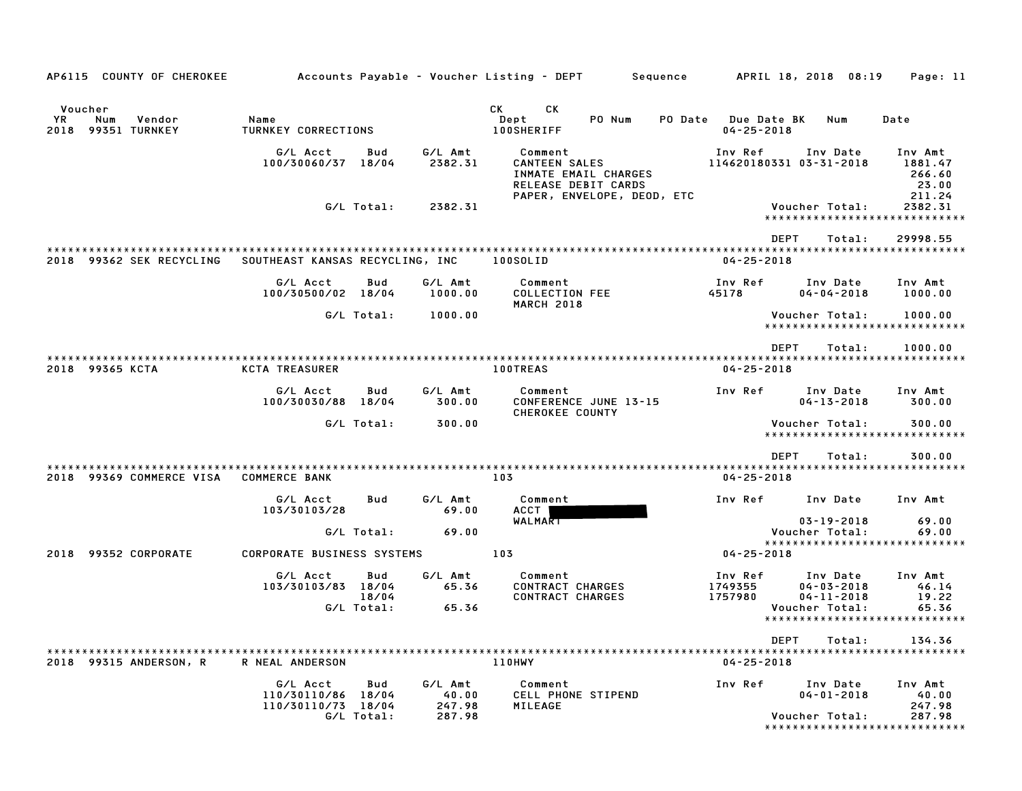| СK<br>CK<br>Voucher<br>YR.<br>Vendor<br>Name<br>Dept<br>PO Num<br>PO Date<br>Num<br>2018 99351 TURNKEY<br><b>TURNKEY CORRECTIONS</b><br><b>100SHERIFF</b><br>G/L Acct<br>G/L Amt<br>Comment<br>Inv Ref<br>Bud | Due Date BK<br>$04 - 25 - 2018$ | Num<br>Inv Date<br>114620180331 03-31-2018     | Date<br>Inv Amt                                                       |
|---------------------------------------------------------------------------------------------------------------------------------------------------------------------------------------------------------------|---------------------------------|------------------------------------------------|-----------------------------------------------------------------------|
|                                                                                                                                                                                                               |                                 |                                                |                                                                       |
|                                                                                                                                                                                                               |                                 |                                                |                                                                       |
| <b>CANTEEN SALES</b><br>100/30060/37 18/04<br>2382.31<br>INMATE EMAIL CHARGES<br>RELEASE DEBIT CARDS<br>PAPER, ENVELOPE, DEOD, ETC                                                                            |                                 |                                                | 1881.47<br>266.60<br>23.00<br>211.24                                  |
| G/L Total:<br>2382.31                                                                                                                                                                                         |                                 | Voucher Total:                                 | 2382.31<br>*****************************                              |
|                                                                                                                                                                                                               | <b>DEPT</b>                     | Total:                                         | 29998.55                                                              |
|                                                                                                                                                                                                               |                                 |                                                |                                                                       |
| 2018 99362 SEK RECYCLING<br>SOUTHEAST KANSAS RECYCLING, INC<br>100SOLID                                                                                                                                       | $04 - 25 - 2018$                |                                                |                                                                       |
| G/L Acct<br>G/L Amt<br>Inv Ref<br>Bud<br>Comment<br>100/30500/02 18/04<br>1000.00<br><b>COLLECTION FEE</b><br>45178<br><b>MARCH 2018</b>                                                                      |                                 | Inv Date<br>$04 - 04 - 2018$                   | Inv Amt<br>1000.00                                                    |
| G/L Total:<br>1000.00                                                                                                                                                                                         |                                 | Voucher Total:                                 | 1000.00<br>*****************************                              |
|                                                                                                                                                                                                               | <b>DEPT</b>                     | Total:                                         | 1000.00                                                               |
| 2018 99365 KCTA<br><b>KCTA TREASURER</b><br><b>100TREAS</b>                                                                                                                                                   | $04 - 25 - 2018$                |                                                |                                                                       |
| G/L Acct<br>Bud<br>G/L Amt<br>Inv Ref<br>Comment<br>CONFERENCE JUNE 13-15<br>100/30030/88 18/04<br>300.00<br><b>CHEROKEE COUNTY</b>                                                                           |                                 | Inv Date<br>$04 - 13 - 2018$                   | Inv Amt<br>300.00                                                     |
| G/L Total:<br>300.00                                                                                                                                                                                          |                                 | Voucher Total:                                 | 300.00<br>*****************************                               |
|                                                                                                                                                                                                               | <b>DEPT</b>                     | Total:                                         | 300.00                                                                |
|                                                                                                                                                                                                               |                                 |                                                |                                                                       |
| 2018 99369 COMMERCE VISA<br><b>COMMERCE BANK</b><br>103                                                                                                                                                       | $04 - 25 - 2018$                |                                                |                                                                       |
| G/L Acct<br>G/L Amt<br>Comment<br>Inv Ref<br>Bud<br>103/30103/28<br>69.00<br>ACCT                                                                                                                             |                                 | Inv Date                                       | Inv Amt                                                               |
| WALMART<br>G/L Total:<br>69.00                                                                                                                                                                                |                                 | $03 - 19 - 2018$<br>Voucher Total:             | 69.00<br>69.00                                                        |
|                                                                                                                                                                                                               |                                 |                                                | *****************************                                         |
| 103<br>2018 99352 CORPORATE<br><b>CORPORATE BUSINESS SYSTEMS</b>                                                                                                                                              | $04 - 25 - 2018$                |                                                |                                                                       |
| Comment<br>G/L Acct<br>Bud<br>G/L Amt<br>Inv Ref                                                                                                                                                              |                                 | Inv Date                                       | Inv Amt                                                               |
| 103/30103/83 18/04<br>65.36<br>CONTRACT CHARGES<br>1749355<br>18/04<br><b>CONTRACT CHARGES</b><br>1757980                                                                                                     |                                 | $04 - 03 - 2018$<br>$04 - 11 - 2018$           | 46.14<br>19.22                                                        |
| G/L Total:<br>65.36                                                                                                                                                                                           |                                 | Voucher Total:                                 | 65.36                                                                 |
|                                                                                                                                                                                                               |                                 |                                                | *****************************                                         |
|                                                                                                                                                                                                               | DEPT                            | Total:                                         | 134.36                                                                |
| 2018 99315 ANDERSON, R<br>R NEAL ANDERSON<br>110HWY                                                                                                                                                           | $04 - 25 - 2018$                |                                                |                                                                       |
| G/L Acct<br>Bud<br>G/L Amt<br>Comment<br>Inv Ref<br>110/30110/86 18/04<br>40.00<br>CELL PHONE STIPEND<br>247.98<br>110/30110/73 18/04<br>MILEAGE<br>G/L Total:<br>287.98                                      |                                 | Inv Date<br>$04 - 01 - 2018$<br>Voucher Total: | Inv Amt<br>40.00<br>247.98<br>287.98<br>***************************** |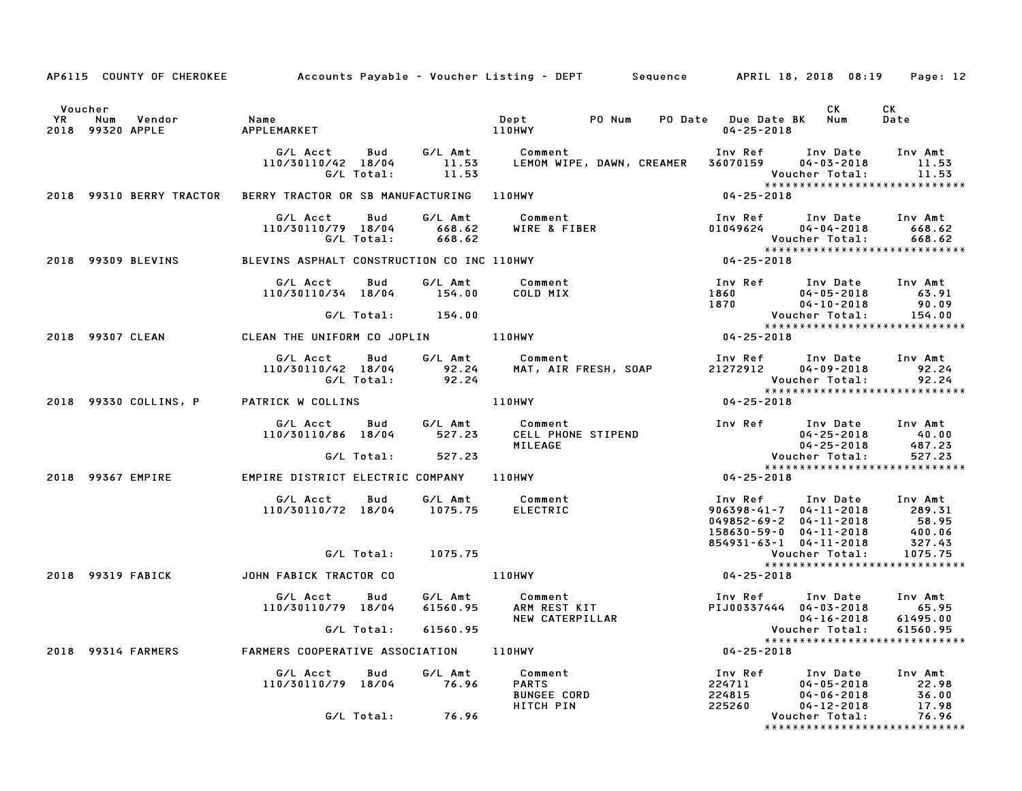|                                                                                          |                                                                                            |                    | AP6115 COUNTY OF CHEROKEE Accounts Payable – Voucher Listing – DEPT Sequence APRIL 18, 2018 08:19                                                                                                                                                    |                                                                |                                    | Page: 12                      |
|------------------------------------------------------------------------------------------|--------------------------------------------------------------------------------------------|--------------------|------------------------------------------------------------------------------------------------------------------------------------------------------------------------------------------------------------------------------------------------------|----------------------------------------------------------------|------------------------------------|-------------------------------|
| Voucher<br>VR Num Vendor – Name<br>2018 99320 APPLE – APPLEMARKET – – – – – – – – 110HWY |                                                                                            |                    | Dept PO Num PO Date Due Date BK Num                                                                                                                                                                                                                  | $04 - 25 - 2018$                                               | <b>CK</b>                          | CK<br>Date                    |
|                                                                                          |                                                                                            |                    | G/L Acct Bud G/L Amt Comment Inv Ref<br>110/30110/42 18/04 11.53 LEMOMWIPE, DAWN, CREAMER 36070159<br>G/L Total: 11.53 Pouc                                                                                                                          | Inv Ref      Inv Date     Inv Amt                              | $04 - 03 - 2018$<br>Voucher Total: | 11.53<br>11.53                |
|                                                                                          |                                                                                            |                    | 2018 99310 BERRY TRACTOR BERRY TRACTOR OR SB MANUFACTURING 110HWY                                                                                                                                                                                    | $04 - 25 - 2018$                                               |                                    |                               |
|                                                                                          | G/L Acct Bud G/L Amt Comment<br>110/30110/79 18/04 668.62 WIRE & FIBE<br>G/L Total: 668.62 |                    |                                                                                                                                                                                                                                                      |                                                                |                                    |                               |
|                                                                                          |                                                                                            |                    | 6/L Total: 668.62<br>2018 99309 BLEVINS BLEVINS ASPHALT CONSTRUCTION CO INC 110HWY<br>2018 99309 BLEVINS BLEVINS ASPHALT CONSTRUCTION CO INC 110HWY 194-25-2018                                                                                      |                                                                |                                    |                               |
|                                                                                          |                                                                                            |                    | 410/30110/34 18/04 154.00 G/L Amt Comment 110/30110/34 18/04 154.00 COLD MIX<br>110/30110/34 18/04 154.00 COLD MIX 1860 04-05-2018 63.91<br>1870 04-10-2018 90.09 G/L Total: 154.00 Voucher Total: 154.00<br>2018 99307 CLEAN CLEAN THE              |                                                                |                                    |                               |
|                                                                                          |                                                                                            |                    |                                                                                                                                                                                                                                                      |                                                                |                                    |                               |
|                                                                                          |                                                                                            |                    |                                                                                                                                                                                                                                                      |                                                                |                                    |                               |
|                                                                                          | G/L Acct Bud G/L Amt Comment<br>110/30110/42 18/04 92.24 MAT, AIR F<br>G/L Total: 92.24    |                    |                                                                                                                                                                                                                                                      | ----<br>Voucher Total: 92.24<br>****************************** |                                    |                               |
| 2018 99330 COLLINS, P PATRICK W COLLINS                                                  |                                                                                            |                    | 110HWY                                                                                                                                                                                                                                               | $04 - 25 - 2018$                                               |                                    |                               |
|                                                                                          |                                                                                            |                    | G/L Acct Bud G/L Amt Comment Inv Ref Inv Date Inv Amt<br>110/30110/86 18/04 527.23 CELL PHONE STIPEND 04-25-2018 40.00<br>G/L Total: 527.23 MILEAGE 9487.23 Voucher Total: 527.23<br>Factor States 27.23 Voucher Total: 527.23                       |                                                                |                                    |                               |
|                                                                                          |                                                                                            |                    |                                                                                                                                                                                                                                                      |                                                                |                                    |                               |
|                                                                                          |                                                                                            |                    |                                                                                                                                                                                                                                                      | $04 - 25 - 2018$                                               |                                    |                               |
|                                                                                          | G/L Acct  Bud  G/L Amt  Comment<br>110/30110/72 18/04  1075.75  ELECTRIC                   |                    | mment<br>CTRIC 1nv Ref Inv Date Inv Amt<br>289.31<br>049852-69-2 04-11-2018 58.95<br>158630-59-0 04-11-2018 400.06<br>854931-63-1 04-11-2018 327.43<br>27.43<br>28931-63-1 04-11-2018 327.43<br>27.43<br>28931-63-1 04-11-2018 327.43<br>27.43<br>29 |                                                                |                                    |                               |
|                                                                                          |                                                                                            | G/L Total: 1075.75 |                                                                                                                                                                                                                                                      |                                                                |                                    |                               |
| 2018 99319 FABICK JOHN FABICK TRACTOR CO                                                 |                                                                                            |                    |                                                                                                                                                                                                                                                      |                                                                |                                    |                               |
|                                                                                          |                                                                                            |                    | HN FABICK TRACTOR CO<br>G/L Acct Bud G/L Amt Comment<br>110/30110/79 18/04 61560.95 ARM REST KIT PIJ00337444 04-03-2018 65.95<br>MEW CATERPILLAR 104-16-2018 61495.00<br>MEW CATERPILLAR 104-16-2018 61495.00<br>Voucher Total: 61560.9              |                                                                |                                    |                               |
|                                                                                          |                                                                                            |                    |                                                                                                                                                                                                                                                      |                                                                |                                    |                               |
|                                                                                          |                                                                                            |                    | 2018 99314 FARMERS FARMERS COOPERATIVE ASSOCIATION 110HWY 104-25-2018                                                                                                                                                                                |                                                                |                                    |                               |
|                                                                                          | G/L Acct  Bud  G/L Amt  Comment<br>110/30110/79 18/04  76.96  PARTS                        |                    |                                                                                                                                                                                                                                                      |                                                                |                                    |                               |
|                                                                                          |                                                                                            | G/L Total: 76.96   |                                                                                                                                                                                                                                                      |                                                                |                                    | ***************************** |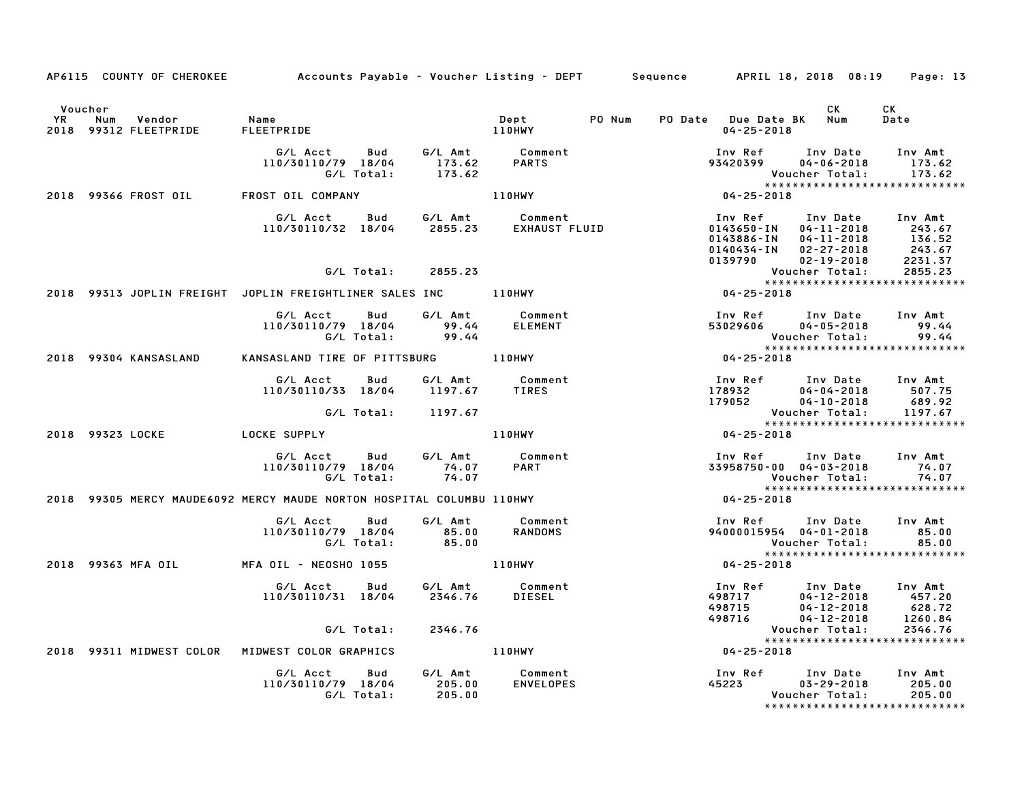|                      | AP6115 COUNTY OF CHEROKEE              | Accounts Payable – Voucher Listing – DEPT       Sequence       APRIL 18, 2018 08:19                                       |                           |                                                         |                                                                                                               |                                                                                                                                                                 | Page: 13                    |
|----------------------|----------------------------------------|---------------------------------------------------------------------------------------------------------------------------|---------------------------|---------------------------------------------------------|---------------------------------------------------------------------------------------------------------------|-----------------------------------------------------------------------------------------------------------------------------------------------------------------|-----------------------------|
| Voucher<br><b>YR</b> | Vendor<br>Num<br>2018 99312 FLEETPRIDE | <b>Name</b><br>Name<br>FLEETPRIDE                                                                                         |                           | Dept<br>110HWY                                          | PO Num<br>PO Date Due Date BK Num<br>$04 - 25 - 2018$                                                         | CK .                                                                                                                                                            | CK<br>Date                  |
|                      |                                        | G/L Acct Bud<br>110/30110/79 18/04<br>G/L Total:                                                                          |                           | G/L Amt        Comment<br>173.62        PARTS<br>173.62 |                                                                                                               | Inv Date Inv Amt                                                                                                                                                | 173.62<br>173.62            |
|                      | 2018 99366 FROST OIL FROST OIL COMPANY |                                                                                                                           |                           | <b>110HWY</b>                                           |                                                                                                               | *****************************                                                                                                                                   |                             |
|                      |                                        | G/L Acct        Bud          G/L Amt            Comment<br>110/30110/32   18/04        2855.23        EXHAUST FLUID       |                           |                                                         |                                                                                                               | Inv Ref      Inv Date     Inv Amt<br>1143650-IN 04-11-2018 243.67<br>0143886-IN 04-11-2018 136.52<br>0140434-IN 02-27-2018 243.67<br>0139790 02-19-2018 2231.37 |                             |
|                      |                                        | G/L Total: 2855.23                                                                                                        |                           |                                                         |                                                                                                               | Voucher Total:                                                                                                                                                  | 2855.23                     |
|                      |                                        | 2018 99313 JOPLIN FREIGHT JOPLIN FREIGHTLINER SALES INC 110HWY                                                            |                           |                                                         | Vouc<br>*****<br>04-25-2018                                                                                   | ******************************                                                                                                                                  |                             |
|                      |                                        | G/L Acct<br>Bud<br>110/30110/79 18/04                                                                                     | G/L Amt<br>99.44          | <b>Comment</b><br>ELEMENT                               | 100    Ref Inv Date Inv Amt<br>173029606    04-05-2018    99.44                                               | Voucher Total:                                                                                                                                                  | 99.44<br>99.44              |
|                      | 2018 99304 KANSASLAND                  | EXERUSION SYSTEMS<br>KANSASLAND TIRE OF PITTSBURG 110HWY                                                                  |                           |                                                         | Vouc<br>*****<br>04-25-2018                                                                                   |                                                                                                                                                                 |                             |
|                      |                                        | G/L Acct Bud G/L Amt<br>110/30110/33 18/04<br>G/L Total: 1197.67                                                          | 1197.67                   | Comment<br>TIRES                                        | 100 Ref Inv Date Inv Amt<br>178932 04-04-2018 507.75<br>179052 04-10-2018 689.92<br>Voucher Total: 1197.67    | Voucher Total:                                                                                                                                                  | 1197.67                     |
|                      | 2018 99323 LOCKE LOCKE SUPPLY          |                                                                                                                           |                           | 110HWY                                                  | Vouc<br>* * * *<br>18 02 - 05 - 04                                                                            |                                                                                                                                                                 |                             |
|                      |                                        | G/L Acct Bud<br>110/30110/79 18/04<br>G/L Total:<br>2018 99305 MERCY MAUDE6092 MERCY MAUDE NORTON HOSPITAL COLUMBU 110HWY | 74.07<br>74.07            | G/L Amt Comment<br>74.07 PART                           | $04 - 25 - 2018$                                                                                              | Inv Ref Inv Date Inv Amt<br>33958750-00 04-03-2018<br>Voucher Total:<br>*****************************                                                           | 74.07<br>74.07              |
|                      |                                        | G/L Acct Bud<br>110/30110/79 18/04<br>G/L Total:                                                                          | G/L Amt<br>85.00<br>85.00 | Comment<br><b>RANDOMS</b>                               |                                                                                                               | Inv Ref Inv Date Inv Amt<br>94000015954 04-01-2018<br><b>Voucher Total:</b><br>*****************************                                                    | 85.00<br>85.00              |
|                      | 2018 99363 MFA OIL                     | MFA OIL – NEOSHO 1055                                                                                                     |                           | 110HWY                                                  | * * * * *<br>04 - 25 - 2018                                                                                   |                                                                                                                                                                 |                             |
|                      |                                        | G/L Acct<br>110/30110/31 18/04                                                                                            | 2346.76                   | Bud G/L Amt Comment<br>DIESEL                           | 100 Ref Inv Date Inv Amt<br>198717 04-12-2018 457.20<br>198715 04-12-2018 628.72<br>198716 04-12-2018 1260.84 | 498717 04-12-2018 457.20<br>498715 04-12-2018 628.72<br>498716 04-12-2018 1260.84                                                                               |                             |
|                      |                                        | G/L Total:                                                                                                                | 2346.76                   |                                                         |                                                                                                               | Voucher Total:                                                                                                                                                  | 2346.76                     |
|                      |                                        | 2018 99311 MIDWEST COLOR MIDWEST COLOR GRAPHICS                                                                           |                           | 110HWY                                                  | * * * * *<br>18 0 2 5 - 19 0 1                                                                                |                                                                                                                                                                 |                             |
|                      |                                        | G/L Acct<br>Bud<br>110/30110/79 18/04<br>G/L Total:                                                                       | 205.00<br>205.00          | G/L Amt Comment<br><b>ENVELOPES</b>                     | 45223                                                                                                         | Inv Ref Inv Date<br>$03 - 29 - 2018$<br>Voucher Total:<br>*****************************                                                                         | Inv Amt<br>205.00<br>205.00 |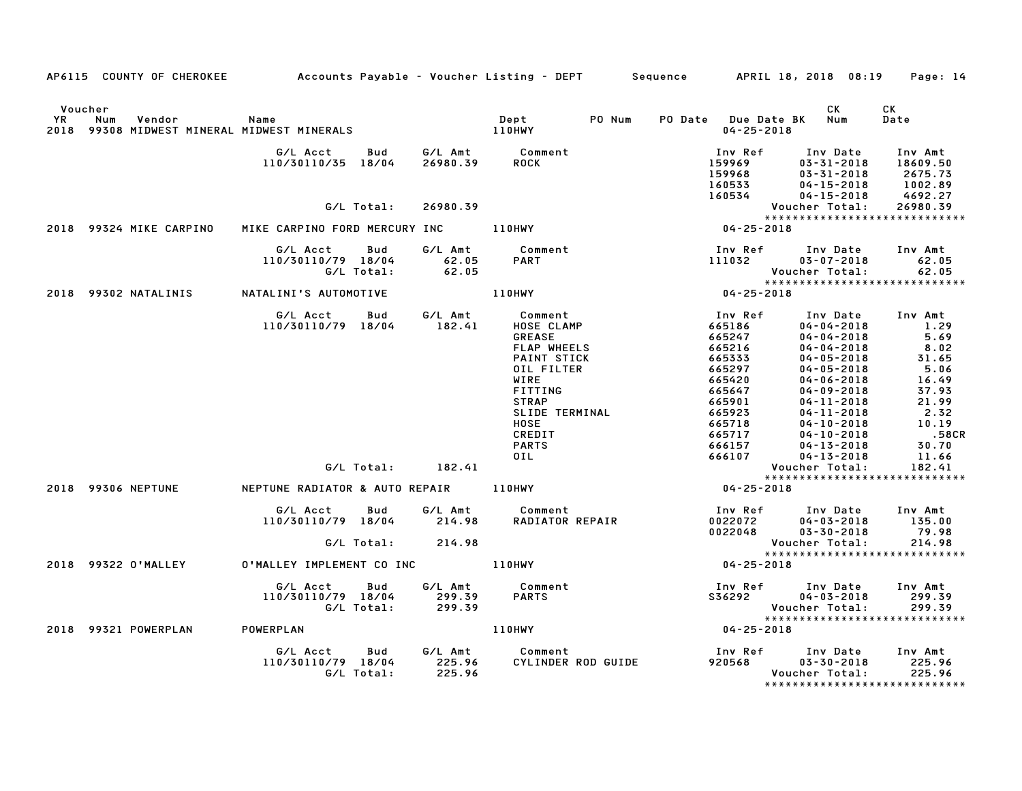|                      |                         | AP6115 COUNTY OF CHEROKEE Accounts Payable - Voucher Listing - DEPT Sequence APRIL 18, 2018 08:19 Page: 14 |                             |                                                                                                                                                                                         |                                                                                                                                                               |                                                                                                                                                                                                                                                                                                                                                                                                                                                                      |
|----------------------|-------------------------|------------------------------------------------------------------------------------------------------------|-----------------------------|-----------------------------------------------------------------------------------------------------------------------------------------------------------------------------------------|---------------------------------------------------------------------------------------------------------------------------------------------------------------|----------------------------------------------------------------------------------------------------------------------------------------------------------------------------------------------------------------------------------------------------------------------------------------------------------------------------------------------------------------------------------------------------------------------------------------------------------------------|
| Voucher<br><b>YR</b> | Num<br>Vendor           | Name<br>2018 99308 MIDWEST MINERAL MIDWEST MINERALS 2018 99308 MIDWEST MINERALS                            |                             | Dept<br>PO Num                                                                                                                                                                          | PO Date Due Date BK Num<br>$04 - 25 - 2018$                                                                                                                   | CK<br>CK<br>Date                                                                                                                                                                                                                                                                                                                                                                                                                                                     |
|                      |                         | G/L Acct Bud G/L Amt Comment<br>110/30110/35 18/04                                                         | 26980.39                    | <b>ROCK</b>                                                                                                                                                                             | Inv Ref<br>159969<br>159968<br>169533<br>160533<br>160534                                                                                                     | Inv Date<br>Inv Amt<br>$03 - 31 - 2018$<br>18609.50<br>03-31-2018<br>2675.73<br>$04 - 15 - 2018$<br>1002.89<br>$04 - 15 - 2018$<br>4692.27                                                                                                                                                                                                                                                                                                                           |
|                      |                         | G/L Total:                                                                                                 | 26980.39                    |                                                                                                                                                                                         |                                                                                                                                                               | Voucher Total:<br>26980.39                                                                                                                                                                                                                                                                                                                                                                                                                                           |
|                      |                         |                                                                                                            |                             |                                                                                                                                                                                         |                                                                                                                                                               | *****************************                                                                                                                                                                                                                                                                                                                                                                                                                                        |
|                      | 2018 99324 MIKE CARPINO | MIKE CARPINO FORD MERCURY INC 110HWY                                                                       |                             |                                                                                                                                                                                         | $04 - 25 - 2018$                                                                                                                                              |                                                                                                                                                                                                                                                                                                                                                                                                                                                                      |
|                      |                         | G/L Acct<br>Bud<br>110/30110/79 18/04<br>G/L Total:                                                        | 62.05<br>62.05              | G/L Amt Comment<br><b>PART</b>                                                                                                                                                          | Inv Ref<br>111032                                                                                                                                             | Inv Date<br>Inv Amt<br>$03 - 07 - 2018$<br>62.05<br>Voucher Total:<br>62.05                                                                                                                                                                                                                                                                                                                                                                                          |
|                      | 2018 99302 NATALINIS    | NATALINI'S AUTOMOTIVE                                                                                      |                             | 110HWY                                                                                                                                                                                  | $04 - 25 - 2018$                                                                                                                                              | *****************************                                                                                                                                                                                                                                                                                                                                                                                                                                        |
|                      |                         |                                                                                                            |                             |                                                                                                                                                                                         |                                                                                                                                                               |                                                                                                                                                                                                                                                                                                                                                                                                                                                                      |
|                      | 2018 99306 NEPTUNE      | G/L Acct Bud<br>110/30110/79 18/04<br>$G/L$ Total: $182.41$<br>NEPTUNE RADIATOR & AUTO REPAIR 110HWY       | G⁄L Amt<br>182.41           | Comment<br>HOSE CLAMP<br><b>GREASE</b><br>FLAP WHEELS<br>PAINT STICK<br>OIL FILTER<br>WIRE<br><b>FITTING</b><br><b>STRAP</b><br>SLIDE TERMINAL<br>HOSE<br>CREDIT<br><b>PARTS</b><br>OIL | Inv Ref<br>665186<br>665247<br>665216<br>665333<br>665297<br>665420<br>665647<br>665901<br>665923<br>665718<br>665717<br>666157<br>666107<br>$04 - 25 - 2018$ | Inv Date<br>Inv Amt<br>1.29<br>$04 - 04 - 2018$<br>5.69<br>$04 - 04 - 2018$<br>$04 - 04 - 2018$<br>$8.02$<br>$31.65$<br>$5.06$<br>$04 - 05 - 2018$<br>$04 - 05 - 2018$<br>16.49<br>$04 - 06 - 2018$<br>$04 - 09 - 2018$<br>37.93<br>21.99<br>$04 - 11 - 2018$<br>2.32<br>$04 - 11 - 2018$<br>10.19<br>$04 - 10 - 2018$<br>.58CR<br>$04 - 10 - 2018$<br>30.70<br>04-13-2018<br>11.66<br>$04 - 13 - 2018$<br>Voucher Total:<br>182.41<br>***************************** |
|                      |                         | G/L Acct<br><b>Bud</b><br>110/30110/79 18/04<br>G/L Total:                                                 | 214.98<br>214.98            | G/L Amt Comment<br>RADIATOR REPAIR                                                                                                                                                      | 0022072<br>0022048                                                                                                                                            | Inv Ref Inv Date Inv Amt<br>135.00<br>$04 - 03 - 2018$<br>79.98<br>$03 - 30 - 2018$<br>Voucher Total:<br>214.98<br>*****************************                                                                                                                                                                                                                                                                                                                     |
|                      | 2018 99322 0'MALLEY     | 0'MALLEY IMPLEMENT CO INC 110HWY                                                                           |                             |                                                                                                                                                                                         | $04 - 25 - 2018$                                                                                                                                              |                                                                                                                                                                                                                                                                                                                                                                                                                                                                      |
|                      |                         | G/L Acct Bud<br>110/30110/79 18/04<br>G/L Total:                                                           | 299.39<br>299.39            | G/L Amt Comment<br><b>PARTS</b>                                                                                                                                                         | Inv Ref Inv Date<br>\$36292                                                                                                                                   | Inv Amt<br>$04 - 03 - 2018$<br>299.39<br>Voucher Total:<br>299.39                                                                                                                                                                                                                                                                                                                                                                                                    |
|                      | 2018 99321 POWERPLAN    | POWERPLAN                                                                                                  |                             | 110HWY                                                                                                                                                                                  | $04 - 25 - 2018$                                                                                                                                              |                                                                                                                                                                                                                                                                                                                                                                                                                                                                      |
|                      |                         | G/L Acct<br><b>Bud</b><br>110/30110/79 18/04<br>G/L Total:                                                 | G/L Amt<br>225.96<br>225.96 | Comment<br>CYLINDER ROD GUIDE                                                                                                                                                           | 920568                                                                                                                                                        | Inv Ref Inv Date Inv Amt<br>$03 - 30 - 2018$<br>225.96<br>Voucher Total:<br>225.96                                                                                                                                                                                                                                                                                                                                                                                   |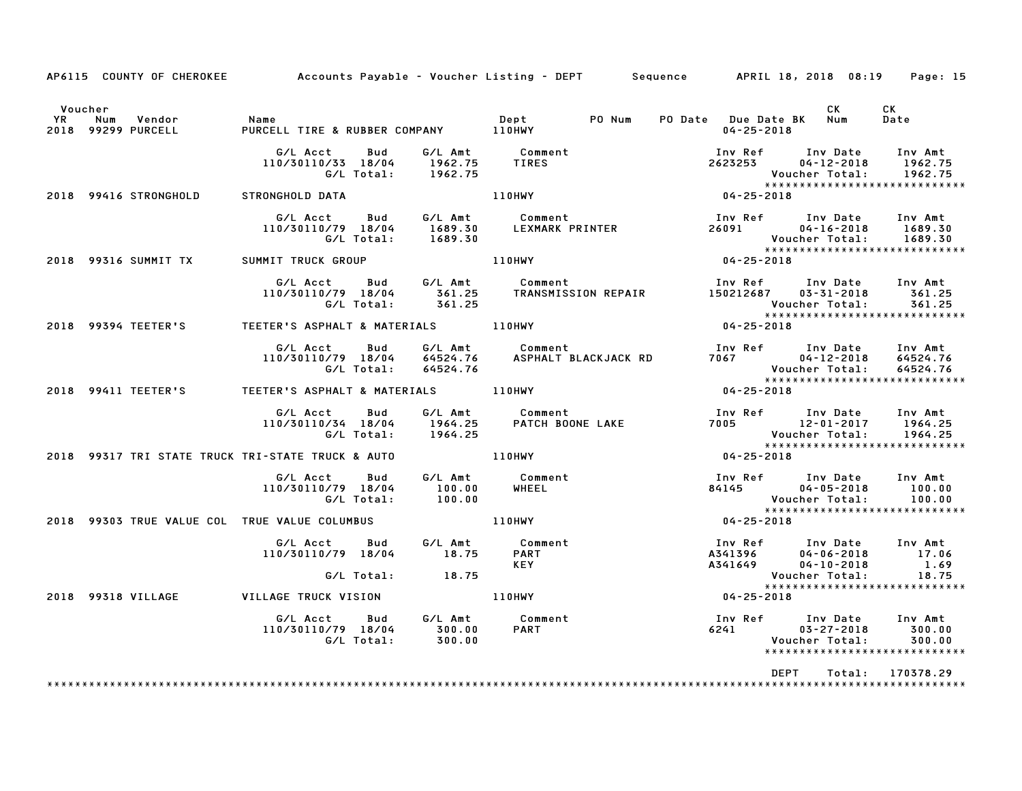|                      | AP6115 COUNTY OF CHEROKEE                         | Accounts Payable – Voucher Listing – DEPT        Sequence        APRIL 18, 2018 08:19     Page: 15 |                          |                             |                                                             |        |                         |                  |                                                                                                          |                                                                                                                                  |  |
|----------------------|---------------------------------------------------|----------------------------------------------------------------------------------------------------|--------------------------|-----------------------------|-------------------------------------------------------------|--------|-------------------------|------------------|----------------------------------------------------------------------------------------------------------|----------------------------------------------------------------------------------------------------------------------------------|--|
| Voucher<br><b>YR</b> | Vendor<br>Num<br>2018 99299 PURCELL               | Name<br>PIIRCFI                                                                                    |                          |                             |                                                             | PO Num | PO Date Due Date BK Num | $04 - 25 - 2018$ | CK                                                                                                       | CK<br>Date                                                                                                                       |  |
|                      |                                                   | G/L Acct  Bud  G/L Amt  Comment<br>110/30110/33 18/04  1962.75  TIRES                              |                          | G/L Total: 1962.75          |                                                             |        |                         |                  | Inv Ref Inv Date<br>2623253 04–12–2018                                                                   | Inv Amt<br>1962.75<br>Voucher Total: 1962.75<br>UOUCNEr lotal: ۱۶۰۷.۱۰<br>*****************************                          |  |
|                      | 2018 99416 STRONGHOLD                             | STRONGHOLD DATA                                                                                    |                          |                             | 110HWY                                                      |        | $04 - 25 - 2018$        |                  |                                                                                                          |                                                                                                                                  |  |
|                      |                                                   | G/L Acct Bud<br>110/30110/79 18/04<br>G/L Total: 1689.30                                           |                          |                             | G/L Amt           Comment<br>1689.30        LEXMARK PRINTER |        |                         |                  | Inv Ref Inv Date Inv Amt                                                                                 | 26091 04-16-2018 1689.30<br>Youcher Total: 1689.30<br>*******************************                                            |  |
|                      | 2018 99316 SUMMIT TX SUMMIT TRUCK GROUP           |                                                                                                    |                          |                             | $04 - 25 - 2018$<br><b>110HWY</b>                           |        |                         |                  |                                                                                                          |                                                                                                                                  |  |
|                      |                                                   | 110/30110/79 18/04 361.25 TRANSMISSION REPAIR<br>G/L Total: 361.25                                 |                          |                             | G/L Acct Bud G/L Amt Comment                                |        |                         |                  | Inv Ref      Inv Date    Inv Amt<br>150212687     03-31-2018       361.25                                | 361.25<br>361.25<br>Voucher Total: 361.25<br>****************************                                                        |  |
|                      | 2018 99394 TEETER'S                               |                                                                                                    |                          |                             |                                                             |        | $04 - 25 - 2018$        |                  |                                                                                                          |                                                                                                                                  |  |
|                      |                                                   | G/L Acct<br>110/30110/79 18/04                                                                     | <b>Bud</b><br>G/L Total: | 64524.76                    | G/L Amt Comment                                             |        |                         |                  | Inv Ref Inv Date Inv Amt<br>$04 - 12 - 2018$<br>7067 04-12-2018<br>Voucher Total:<br>******************* | 64524.76<br>64524.76                                                                                                             |  |
|                      | 2018 99411 TEETER'S                               |                                                                                                    |                          |                             |                                                             |        | $04 - 25 - 2018$        |                  |                                                                                                          | *****************************                                                                                                    |  |
|                      |                                                   | G/L Acct<br>110/30110/34 18/04                                                                     | Bud<br>G/L Total:        | 1964.25                     | G/L Amt          Comment<br>1964.25        PATCH BOO        |        |                         |                  | Voucher Total:<br>*****************                                                                      | 1964.25                                                                                                                          |  |
|                      | 2018 99317 TRI STATE TRUCK TRI-STATE TRUCK & AUTO |                                                                                                    |                          |                             | 110HWY                                                      |        | $04 - 25 - 2018$        |                  |                                                                                                          | ******************************                                                                                                   |  |
|                      |                                                   | G/L Acct Bud<br>110/30110/79 18/04                                                                 |                          | 100.00<br>G/L Total: 100.00 | G/L Amt Comment<br>100.00 WHEEL                             |        |                         |                  | Voucher Total:                                                                                           | Inv Ref       Inv Date     Inv Amt<br>84145               04-05-2018           100.00<br>100.00<br>***************************** |  |
|                      | 2018 99303 TRUE VALUE COL TRUE VALUE COLUMBUS     |                                                                                                    |                          |                             | 110HWY                                                      |        | $04 - 25 - 2018$        |                  |                                                                                                          |                                                                                                                                  |  |
|                      |                                                   | G/L Acct Bud<br>110/30110/79 18/04                                                                 |                          | 18.75                       | G/L Amt Comment<br><b>PART</b><br>KEY                       |        |                         |                  | Inv Ref Inv Date Inv Amt<br>A341396 04-06-2018<br>A341649 04-10-2018                                     | 17.06<br>1.69                                                                                                                    |  |
|                      |                                                   |                                                                                                    |                          | $G/L$ Total: $18.75$        |                                                             |        |                         |                  |                                                                                                          | 18.75<br>*****************************                                                                                           |  |
|                      | 2018 99318 VILLAGE                                | VILLAGE TRUCK VISION                                                                               |                          |                             | <b>110HWY</b>                                               |        |                         | $04 - 25 - 2018$ |                                                                                                          |                                                                                                                                  |  |
|                      |                                                   | G/L Acct  Bud  G/L Amt  Comment<br>110/30110/79  18/04  300.00  PART<br>G/L Total:  300.00         |                          |                             |                                                             |        |                         | 6241             | Inv Ref      Inv Date<br>$03 - 27 - 2018$<br>Voucher Total:                                              | Inv Amt<br>300.00<br>300.00<br>******************************                                                                    |  |
|                      |                                                   |                                                                                                    |                          |                             |                                                             |        |                         | <b>DEPT</b>      | Total:                                                                                                   | 170378.29                                                                                                                        |  |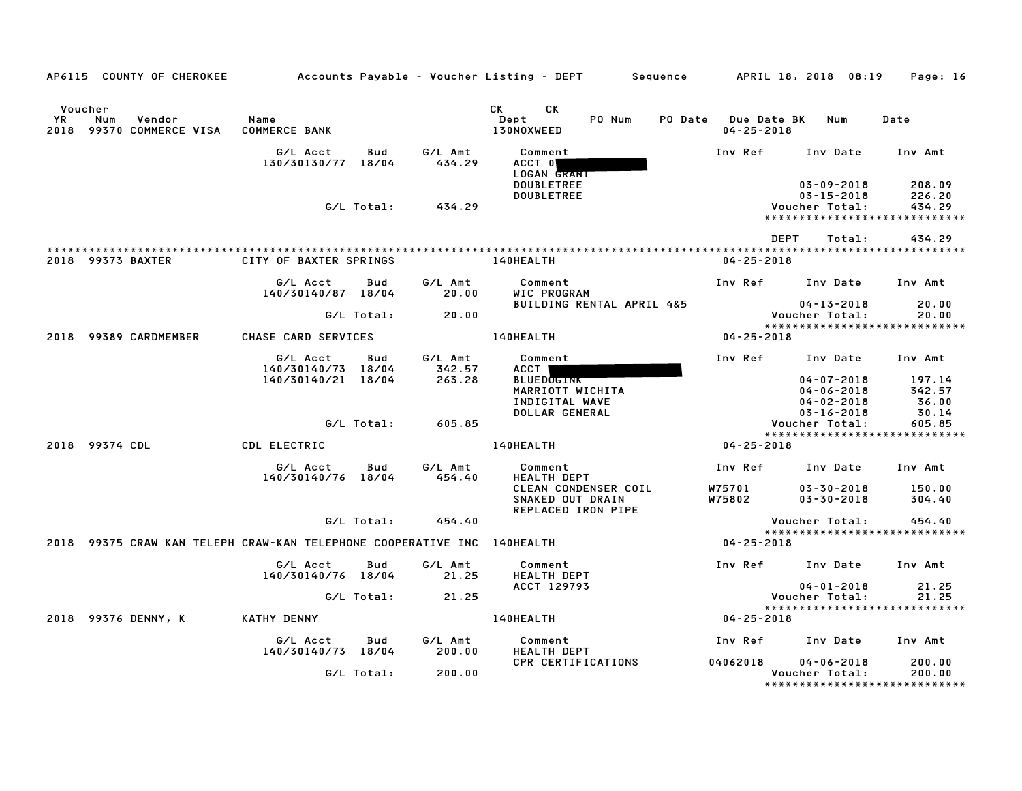| AP6115 COUNTY OF CHEROKEE                                               |                                |            |                   | Accounts Payable – Voucher Listing – DEPT<br>Sequence          |                                 | APRIL 18, 2018 08:19                                                                    | Page: 16                   |
|-------------------------------------------------------------------------|--------------------------------|------------|-------------------|----------------------------------------------------------------|---------------------------------|-----------------------------------------------------------------------------------------|----------------------------|
|                                                                         |                                |            |                   |                                                                |                                 |                                                                                         |                            |
| Voucher<br>YR<br>Num<br>Vendor<br>99370 COMMERCE VISA<br>2018           | Name<br><b>COMMERCE BANK</b>   |            |                   | CK<br>СK<br>PO Num<br>PO Date<br>Dept<br>130NOXWEED            | Due Date BK<br>$04 - 25 - 2018$ | Num                                                                                     | Date                       |
|                                                                         | G/L Acct<br>130/30130/77 18/04 | Bud        | G/L Amt<br>434.29 | Comment<br>ACCT 0<br>LOGAN GRANT                               | Inv Ref                         | Inv Date                                                                                | Inv Amt                    |
|                                                                         |                                | G/L Total: | 434.29            | <b>DOUBLETREE</b><br><b>DOUBLETREE</b>                         |                                 | $03 - 09 - 2018$<br>$03 - 15 - 2018$<br>Voucher Total:<br>***************************** | 208.09<br>226.20<br>434.29 |
|                                                                         |                                |            |                   |                                                                |                                 |                                                                                         |                            |
|                                                                         |                                |            |                   |                                                                |                                 | <b>DEPT</b><br>Total:                                                                   | 434.29                     |
| 2018 99373 BAXTER                                                       | CITY OF BAXTER SPRINGS         |            |                   | 140HEALTH                                                      | $04 - 25 - 2018$                |                                                                                         |                            |
|                                                                         | G/L Acct<br>140/30140/87 18/04 | Bud        | G/L Amt<br>20.00  | Comment<br>WIC PROGRAM                                         | Inv Ref                         | Inv Date                                                                                | Inv Amt                    |
|                                                                         |                                | G/L Total: | 20.00             | BUILDING RENTAL APRIL 4&5                                      |                                 | $04 - 13 - 2018$<br>Voucher Total:<br>*****************************                     | 20.00<br>20.00             |
| 2018 99389 CARDMEMBER                                                   | CHASE CARD SERVICES            |            |                   | 140HEALTH                                                      | $04 - 25 - 2018$                |                                                                                         |                            |
|                                                                         | G/L Acct<br>140/30140/73 18/04 | Bud        | G/L Amt<br>342.57 | Comment<br><b>ACCT</b>                                         | Inv Ref                         | Inv Date                                                                                | Inv Amt                    |
|                                                                         | 140/30140/21 18/04             |            | 263.28            | <b>BLUEDOGINK</b><br>MARRIOTT WICHITA<br>INDIGITAL WAVE        |                                 | $04 - 07 - 2018$<br>$04 - 06 - 2018$<br>$04 - 02 - 2018$                                | 197.14<br>342.57<br>36.00  |
|                                                                         |                                | G/L Total: | 605.85            | DOLLAR GENERAL                                                 |                                 | $03 - 16 - 2018$<br>Voucher Total:                                                      | 30.14<br>605.85            |
| 99374 CDL                                                               |                                |            |                   |                                                                |                                 | *****************************                                                           |                            |
| 2018                                                                    | CDL ELECTRIC                   |            |                   | 140HEALTH                                                      | $04 - 25 - 2018$                |                                                                                         |                            |
|                                                                         | G/L Acct<br>140/30140/76 18/04 | Bud        | G/L Amt<br>454.40 | Comment<br><b>HEALTH DEPT</b>                                  | Inv Ref                         | Inv Date                                                                                | Inv Amt                    |
|                                                                         |                                |            |                   | CLEAN CONDENSER COIL<br>SNAKED OUT DRAIN<br>REPLACED IRON PIPE | W75701<br>W75802                | $03 - 30 - 2018$<br>$03 - 30 - 2018$                                                    | 150.00<br>304.40           |
|                                                                         |                                | G/L Total: | 454.40            |                                                                |                                 | Voucher Total:                                                                          | 454.40                     |
| 2018 99375 CRAW KAN TELEPH CRAW-KAN TELEPHONE COOPERATIVE INC 140HEALTH |                                |            |                   |                                                                | $04 - 25 - 2018$                | *****************************                                                           |                            |
|                                                                         | G/L Acct<br>140/30140/76 18/04 | Bud        | G/L Amt<br>21.25  | Comment<br>HEALTH DEPT                                         | Inv Ref                         | Inv Date                                                                                | Inv Amt                    |
|                                                                         |                                | G/L Total: | 21.25             | ACCT 129793                                                    |                                 | $04 - 01 - 2018$<br>Voucher Total:                                                      | 21.25<br>21.25             |
| 2018<br>99376 DENNY, K                                                  | <b>KATHY DENNY</b>             |            |                   | 140HEALTH                                                      | $04 - 25 - 2018$                | *****************************                                                           |                            |
|                                                                         |                                |            |                   |                                                                |                                 |                                                                                         |                            |
|                                                                         | G/L Acct<br>140/30140/73 18/04 | Bud        | G/L Amt<br>200.00 | Comment<br><b>HEALTH DEPT</b>                                  | Inv Ref                         | Inv Date                                                                                | Inv Amt                    |
|                                                                         |                                | G/L Total: | 200.00            | CPR CERTIFICATIONS                                             | 04062018                        | $04 - 06 - 2018$<br>Voucher Total:<br>******************************                    | 200.00<br>200.00           |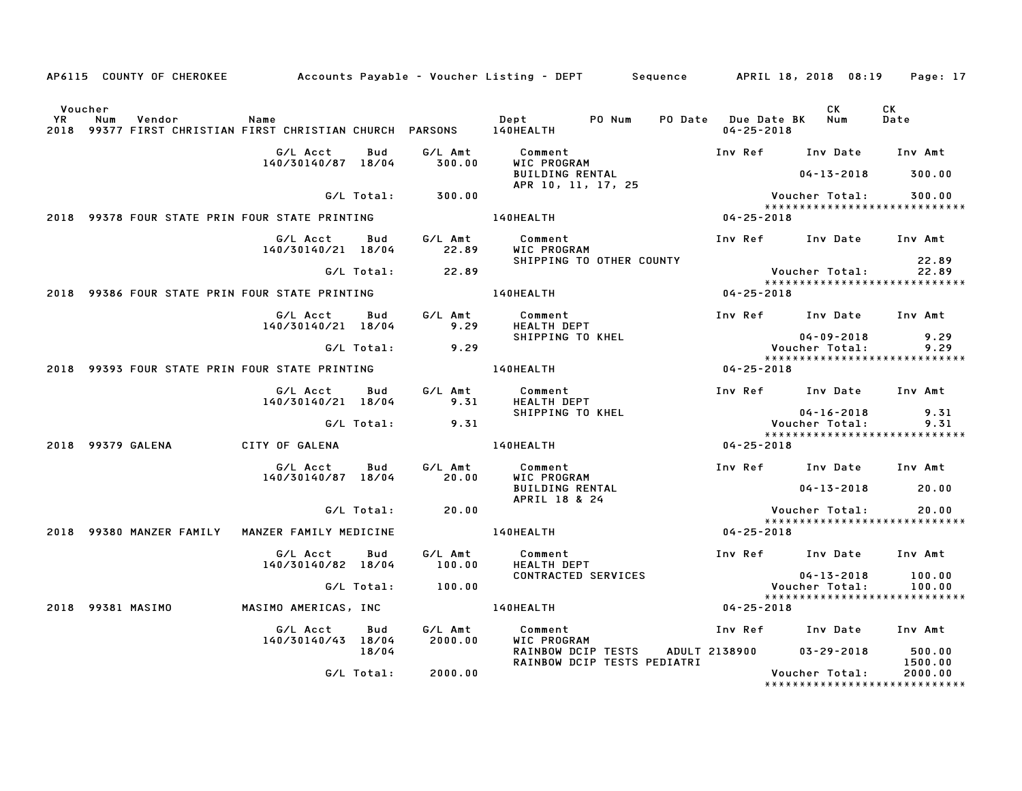|                      |     |                          |                                                                             |            |                    | AP6115 COUNTY OF CHEROKEE         Accounts Payable – Voucher Listing – DEPT     Sequence     APRIL 18, 2018 08:19 |                                             |                                    | Page: 17                                 |
|----------------------|-----|--------------------------|-----------------------------------------------------------------------------|------------|--------------------|-------------------------------------------------------------------------------------------------------------------|---------------------------------------------|------------------------------------|------------------------------------------|
| Voucher<br><b>YR</b> | Num | Vendor                   | Name<br>2018 99377 FIRST CHRISTIAN FIRST CHRISTIAN CHURCH PARSONS 140HEALTH |            |                    | PO Num<br><b>Dept</b>                                                                                             | PO Date Due Date BK Num<br>$04 - 25 - 2018$ | CK                                 | CK<br>Date                               |
|                      |     |                          | G/L Acct<br>140/30140/87 18/04                                              | Bud        | G/L Amt<br>300.00  | Comment<br>WIC PROGRAM                                                                                            | Inv Ref Inv Date                            |                                    | Inv Amt                                  |
|                      |     |                          |                                                                             |            |                    | <b>BUILDING RENTAL</b><br>$APR$ 10, 11, 17, 25                                                                    |                                             | 04-13-2018                         | 300.00                                   |
|                      |     |                          |                                                                             | G/L Total: | 300.00             |                                                                                                                   |                                             | Voucher Total:                     | 300.00<br>*****************************  |
|                      |     |                          | 2018 99378 FOUR STATE PRIN FOUR STATE PRINTING                              |            |                    | 140HEALTH                                                                                                         | 04-25-2018                                  |                                    |                                          |
|                      |     |                          | G/L Acct<br>140/30140/21 18/04                                              | Bud        | G/L Amt<br>22.89   | Comment<br>WIC PROGRAM                                                                                            | Inv Ref Inv Date Inv Amt                    |                                    |                                          |
|                      |     |                          |                                                                             | G/L Total: | 22.89              | SHIPPING TO OTHER COUNTY                                                                                          |                                             | Voucher Total:                     | 22.89<br>22.89                           |
|                      |     |                          | 2018 99386 FOUR STATE PRIN FOUR STATE PRINTING                              |            |                    | <b>140HEALTH</b>                                                                                                  | $04 - 25 - 2018$                            |                                    | *****************************            |
|                      |     |                          | G/L Acct Bud<br>140/30140/21 18/04                                          |            | G/L Amt<br>9.29    | Comment<br>HEALTH DEPT                                                                                            | Inv Ref Inv Date Inv Amt                    |                                    |                                          |
|                      |     |                          |                                                                             | G/L Total: | 9.29               | SHIPPING TO KHEL                                                                                                  |                                             | $04 - 09 - 2018$<br>Voucher Total: | 9.29<br>9.29                             |
|                      |     |                          | 2018 99393 FOUR STATE PRIN FOUR STATE PRINTING                              |            |                    | 140HEALTH                                                                                                         | $04 - 25 - 2018$                            |                                    | *****************************            |
|                      |     |                          | G/L Acct                                                                    | Bud        | G/L Amt            | Comment                                                                                                           | Inv Ref Inv Date Inv Amt                    |                                    |                                          |
|                      |     |                          | 140/30140/21 18/04                                                          |            | 9.31               | HEALTH DEPT<br>SHIPPING TO KHEL                                                                                   |                                             | $04 - 16 - 2018$                   | 9.31                                     |
|                      |     |                          |                                                                             | G/L Total: | 9.31               |                                                                                                                   |                                             | Voucher Total:                     | 9.31                                     |
|                      |     | 2018 99379 GALENA        | CITY OF GALENA                                                              |            |                    | <b>140HEALTH</b>                                                                                                  | $04 - 25 - 2018$                            |                                    | *****************************            |
|                      |     |                          | G/L Acct                                                                    | Bud        | G/L Amt            | Comment                                                                                                           | Inv Ref Inv Date Inv Amt                    |                                    |                                          |
|                      |     |                          | 140/30140/87 18/04                                                          |            | 20.00              | WIC PROGRAM<br><b>BUILDING RENTAL</b><br>APRIL 18 & 24                                                            |                                             | $04 - 13 - 2018$                   | 20.00                                    |
|                      |     |                          |                                                                             | G/L Total: | 20.00              |                                                                                                                   |                                             | Voucher Total:                     | 20.00<br>*****************************   |
|                      |     | 2018 99380 MANZER FAMILY | MANZER FAMILY MEDICINE                                                      |            |                    | <b>140HEALTH</b>                                                                                                  | $04 - 25 - 2018$                            |                                    |                                          |
|                      |     |                          | G/L Acct<br>140/30140/82 18/04                                              | Bud        | G/L Amt<br>100.00  | Comment<br>HEALTH DEPT                                                                                            | Inv Ref Inv Date Inv Amt                    |                                    |                                          |
|                      |     |                          |                                                                             | G/L Total: | 100.00             | CONTRACTED SERVICES                                                                                               |                                             | $04 - 13 - 2018$<br>Voucher Total: | 100.00<br>100.00                         |
|                      |     |                          |                                                                             |            |                    |                                                                                                                   |                                             |                                    | *****************************            |
|                      |     | 2018 99381 MASIMO        | MASIMO AMERICAS, INC                                                        |            |                    | $04 - 25 - 2018$<br><b>140HEALTH</b>                                                                              |                                             |                                    |                                          |
|                      |     |                          | G/L Acct<br>140/30140/43 18/04                                              | Bud        | G/L Amt<br>2000.00 | Comment<br>WIC PROGRAM                                                                                            | Inv Ref Inv Date Inv Amt                    |                                    |                                          |
|                      |     |                          |                                                                             | 18/04      |                    | RAINBOW DCIP TESTS<br>RAINBOW DCIP TESTS PEDIATRI                                                                 | ADULT 2138900                               | $03 - 29 - 2018$                   | 500.00<br>1500.00                        |
|                      |     |                          |                                                                             | G/L Total: | 2000.00            |                                                                                                                   |                                             | Voucher Total:                     | 2000.00<br>***************************** |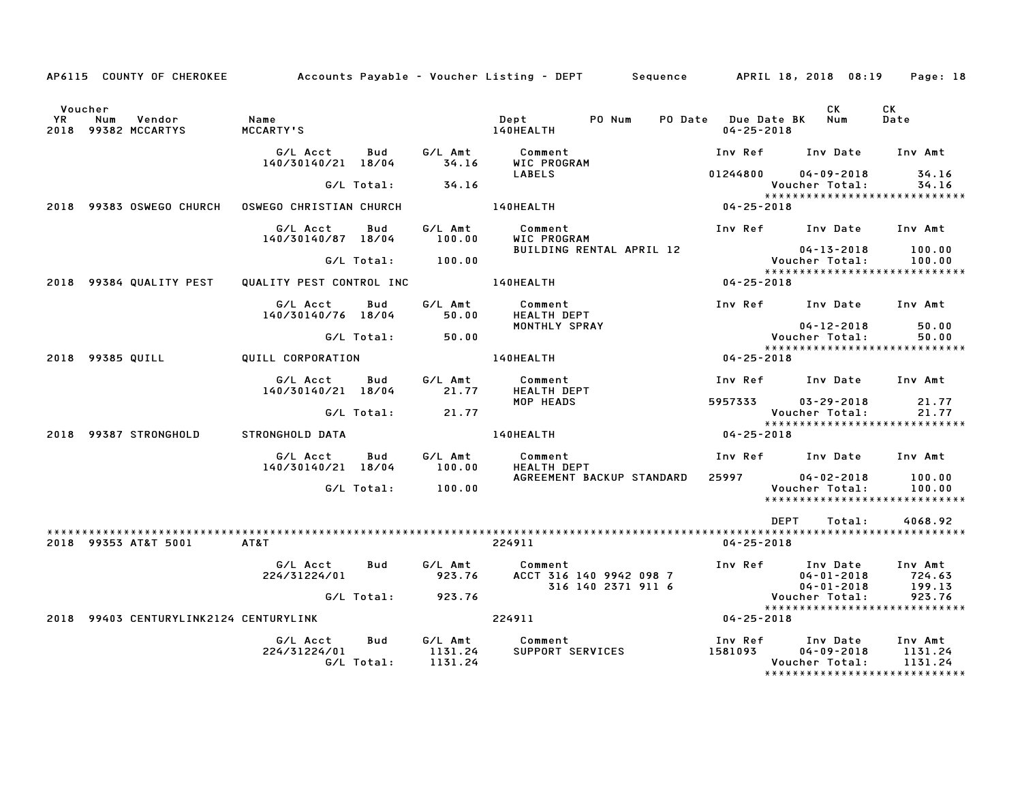|           |                                                 |                                |                   |                       | AP6115 COUNTY OF CHEROKEE Accounts Payable - Voucher Listing - DEPT Sequence APRIL 18, 2018 08:19 |                                                                |                                    | Page: 18                                           |
|-----------|-------------------------------------------------|--------------------------------|-------------------|-----------------------|---------------------------------------------------------------------------------------------------|----------------------------------------------------------------|------------------------------------|----------------------------------------------------|
| <b>YR</b> | Voucher<br>Vendor<br>Num<br>2018 99382 MCCARTYS | <b>Name</b><br>MCCARTY'S       |                   |                       | PO Num<br>Dept<br>140HEALTH                                                                       | PO Date Due Date BK Num<br>$04 - 25 - 2018$                    | CK                                 | CK<br>Date                                         |
|           |                                                 | G/L Acct<br>140/30140/21 18/04 | Bud               | 34.16                 | G/L Amt Comment<br>WIC PROGRAM                                                                    | Inv Ref Inv Date                                               |                                    | Inv Amt                                            |
|           |                                                 |                                | G/L Total:        | 34.16                 | <b>LABELS</b>                                                                                     | $01244800$ $04-09-2018$                                        | Voucher Total:                     | 34.16<br>34.16                                     |
|           | 2018 99383 OSWEGO CHURCH                        | OSWEGO CHRISTIAN CHURCH        |                   |                       | <b>140HEALTH</b>                                                                                  | $04 - 25 - 2018$                                               |                                    | *****************************                      |
|           |                                                 | G/L Acct<br>140/30140/87 18/04 | Bud               | G/L Amt<br>100.00     | Comment<br>WIC PROGRAM                                                                            | Inv Ref Inv Date Inv Amt                                       |                                    |                                                    |
|           |                                                 |                                |                   | $G/L$ Total: $100.00$ | BUILDING RENTAL APRIL 12                                                                          | 04-13-2018<br>:Voucher Total                                   | 04-13-2018                         | 100.00<br>100.00<br>*****************************  |
|           | 2018 99384 QUALITY PEST                         | QUALITY PEST CONTROL INC       |                   |                       | <b>140HEALTH</b>                                                                                  | $04 - 25 - 2018$                                               |                                    |                                                    |
|           |                                                 | G/L Acct<br>140/30140/76 18/04 | Bud               | G/L Amt<br>50.00      | Comment<br><b>HEALTH DEPT</b>                                                                     | Inv Ref Inv Date Inv Amt                                       |                                    |                                                    |
|           |                                                 |                                | G/L Total:        | 50.00                 | MONTHLY SPRAY                                                                                     |                                                                | 04-12-2018<br>Voucher Total:       | 50.00<br>50.00                                     |
|           | 2018 99385 QUILL                                | QUILL CORPORATION              |                   |                       | <b>140HEALTH</b>                                                                                  | $04 - 25 - 2018$                                               |                                    | ******************************                     |
|           |                                                 | G/L Acct                       | Bud               |                       | G/L Amt Comment                                                                                   | Inv Ref Inv Date Inv Amt                                       |                                    |                                                    |
|           |                                                 | 140/30140/21 18/04             |                   | 21.77                 | <b>HEALTH DEPT</b>                                                                                |                                                                |                                    |                                                    |
|           |                                                 |                                | G/L Total:        | 21.77                 | MOP HEADS                                                                                         | 5957333                                                        | $03 - 29 - 2018$<br>Voucher Total: | 21.77<br>21.77                                     |
|           | 2018 99387 STRONGHOLD                           | STRONGHOLD DATA                |                   |                       | 140HEALTH                                                                                         | $04 - 25 - 2018$                                               |                                    |                                                    |
|           |                                                 | G/L Acct<br>140/30140/21 18/04 | Bud               | 100.00                | G/L Amt Comment<br><b>HEALTH DEPT</b>                                                             | Inv Ref Inv Date Inv Amt                                       |                                    |                                                    |
|           |                                                 |                                | G/L Total:        | 100.00                | AGREEMENT BACKUP STANDARD                                                                         | 25997 2599                                                     | $04 - 02 - 2018$<br>Voucher Total: | 100.00<br>100.00<br>****************************** |
|           |                                                 |                                |                   |                       |                                                                                                   | DEPT                                                           | Total:                             | 4068.92                                            |
|           | 2018 99353 AT&T 5001                            | AT&T                           |                   |                       | 224911                                                                                            | $04 - 25 - 2018$                                               |                                    |                                                    |
|           |                                                 | G/L Acct<br>224/31224/01       | Bud               | 923.76                | G/L Amt Comment<br>ACCT 316 140 9942 098 7<br>316 140 2371 911 6                                  | Inv Ref Inv Date<br>04-01-2018<br>04-01-2018<br>Voucher Total: |                                    | Inv Amt<br>724.63<br>199.13                        |
|           |                                                 |                                |                   | G/L Total: 923.76     |                                                                                                   |                                                                |                                    | 923.76<br>*****************************            |
|           | 2018 99403 CENTURYLINK2124 CENTURYLINK          |                                |                   |                       | 224911                                                                                            | $04 - 25 - 2018$                                               |                                    |                                                    |
|           |                                                 | G/L Acct<br>224/31224/01       | Bud<br>G/L Total: | 1131.24<br>1131.24    | G/L Amt Comment<br>SUPPORT SERVICES                                                               | Inv Ref      Inv Date<br>1581093                               | $04 - 09 - 2018$<br>Voucher Total: | Inv Amt<br>1131.24<br>1131.24                      |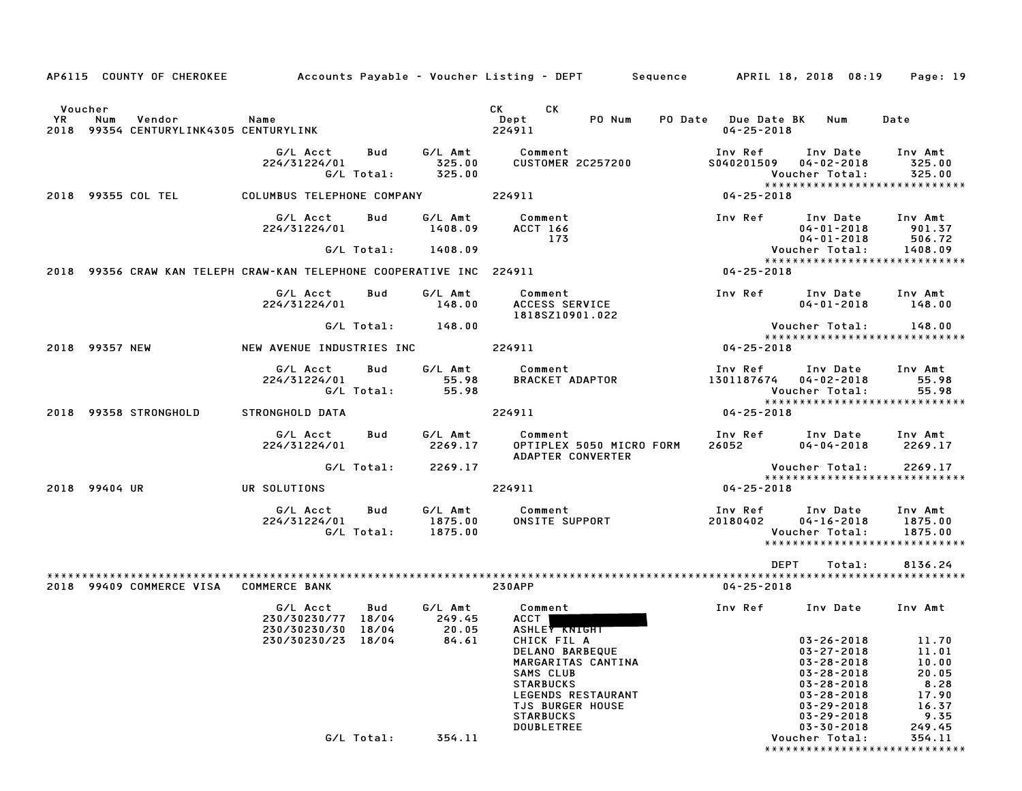|           |                | AP6115 COUNTY OF CHEROKEE                                                          |                                                                      |                   |                               | Accounts Payable – Voucher Listing – DEPT         Sequence         APRIL 18, 2018 08:19                                                                                                                                                     |                                             |                                                                                                                                                              | Page: 19                                                            |
|-----------|----------------|------------------------------------------------------------------------------------|----------------------------------------------------------------------|-------------------|-------------------------------|---------------------------------------------------------------------------------------------------------------------------------------------------------------------------------------------------------------------------------------------|---------------------------------------------|--------------------------------------------------------------------------------------------------------------------------------------------------------------|---------------------------------------------------------------------|
|           | Voucher        |                                                                                    |                                                                      |                   |                               | <b>CK</b><br>CK the control of the control of the control of the control of the control of the control of the control of the control of the control of the control of the control of the control of the control of the control of the contr |                                             |                                                                                                                                                              |                                                                     |
| <b>YR</b> | Num            | Vendor<br><b>Subset of Service State</b><br>2018 99354 CENTURYLINK4305 CENTURYLINK |                                                                      |                   |                               | Dept<br>PO Num<br>224911                                                                                                                                                                                                                    | PO Date Due Date BK Num<br>$04 - 25 - 2018$ |                                                                                                                                                              | Date                                                                |
|           |                |                                                                                    | G/L Acct<br>224/31224/01                                             | Bud<br>G/L Total: | 325.00<br>325.00              | G/L Amt Comment<br><b>CUSTOMER 2C257200</b>                                                                                                                                                                                                 | Inv Ref                                     | Inv Date<br>S040201509 04-02-2018<br>Voucher Total:<br>******************************                                                                        | Inv Amt<br>325.00<br>325.00                                         |
|           |                | 2018 99355 COL TEL                                                                 | COLUMBUS TELEPHONE COMPANY                                           |                   |                               | 224911                                                                                                                                                                                                                                      | 04-25-2018                                  |                                                                                                                                                              |                                                                     |
|           |                |                                                                                    | G/L Acct<br>224/31224/01                                             | Bud               | G/L Amt<br>1408.09            | Comment<br>ACCT 166<br>173                                                                                                                                                                                                                  |                                             | Inv Ref Inv Date Inv Amt<br>04-01-2018<br>04-01-2018                                                                                                         | 901.37<br>506.72                                                    |
|           |                |                                                                                    |                                                                      |                   | G/L Total: 1408.09            |                                                                                                                                                                                                                                             |                                             | Voucher Total:                                                                                                                                               | 1408.09                                                             |
|           |                |                                                                                    | 2018 99356 CRAW KAN TELEPH CRAW-KAN TELEPHONE COOPERATIVE INC 224911 |                   |                               |                                                                                                                                                                                                                                             | $04 - 25 - 2018$                            | *****************************                                                                                                                                |                                                                     |
|           |                |                                                                                    | G/L Acct<br>224/31224/01                                             | Bud               | G/L Amt<br>148.00             | Comment<br>ACCESS SERVICE<br>1818SZ10901.022                                                                                                                                                                                                |                                             | Inv Ref Inv Date<br>$04 - 01 - 2018$                                                                                                                         | Inv Amt<br>148.00                                                   |
|           |                |                                                                                    |                                                                      | G/L Total:        | 148.00                        |                                                                                                                                                                                                                                             |                                             | Voucher Total:                                                                                                                                               | 148.00                                                              |
|           | 2018 99357 NEW |                                                                                    | NEW AVENUE INDUSTRIES INC 224911                                     |                   |                               |                                                                                                                                                                                                                                             | 04-25-2018                                  | *****************************                                                                                                                                |                                                                     |
|           |                |                                                                                    | G/L Acct<br>224/31224/01                                             | Bud<br>G/L Total: | G/L Amt<br>55.98<br>55.98     | Comment<br>BRACKET ADAPTOR                                                                                                                                                                                                                  |                                             | Inv Ref      Inv Date<br>1301187674 04-02-2018<br>Voucher Total:                                                                                             | Inv Amt<br>55.98<br>55.98                                           |
|           |                | 2018 99358 STRONGHOLD                                                              | STRONGHOLD DATA                                                      |                   |                               | 224911                                                                                                                                                                                                                                      | 04-25-2018                                  | *****************************                                                                                                                                |                                                                     |
|           |                |                                                                                    |                                                                      |                   |                               |                                                                                                                                                                                                                                             |                                             |                                                                                                                                                              |                                                                     |
|           |                |                                                                                    | G/L Acct<br>224/31224/01                                             | Bud               | G/L Amt<br>2269.17            | Comment<br>OPTIPLEX 5050 MICRO FORM<br>ADAPTER CONVERTER                                                                                                                                                                                    | 26052                                       | Inv Ref Inv Date Inv Amt<br>04-04-2018                                                                                                                       | 2269.17                                                             |
|           |                |                                                                                    |                                                                      | G/L Total:        | 2269.17                       |                                                                                                                                                                                                                                             |                                             | Voucher Total:<br>*****************************                                                                                                              | 2269.17                                                             |
|           | 2018 99404 UR  |                                                                                    |                                                                      |                   |                               |                                                                                                                                                                                                                                             |                                             |                                                                                                                                                              |                                                                     |
|           |                |                                                                                    | UR SOLUTIONS                                                         |                   |                               | 224911                                                                                                                                                                                                                                      | 04-25-2018                                  |                                                                                                                                                              |                                                                     |
|           |                |                                                                                    | G/L Acct<br>224/31224/01                                             | Bud<br>G/L Total: | G/L Amt<br>1875.00<br>1875.00 | Comment<br><b>COMMENT</b><br>ONSITE SUPPORT                                                                                                                                                                                                 | 20180402                                    | Inv Ref      Inv Date<br>$04 - 16 - 2018$<br>Voucher Total:<br>*****************************                                                                 | Inv Amt<br>1875.00<br>1875.00                                       |
|           |                |                                                                                    |                                                                      |                   |                               |                                                                                                                                                                                                                                             | DEPT                                        | Total:                                                                                                                                                       | 8136.24                                                             |
|           |                | 2018 99409 COMMERCE VISA                                                           | <b>COMMERCE BANK</b>                                                 |                   |                               | <b>230APP</b>                                                                                                                                                                                                                               | $04 - 25 - 2018$                            |                                                                                                                                                              |                                                                     |
|           |                |                                                                                    | G/L Acct<br>230/30230/77 18/04<br>230/30230/23 18/04                 | Bud               | G/L Amt<br>249.45<br>84.61    | Comment<br>ACCT I<br>230/30230/30 18/04 20.05 ASHLEY KNIGHT<br>CHICK FIL A                                                                                                                                                                  | Inv Ref                                     | Inv Date<br>$03 - 26 - 2018$                                                                                                                                 | Inv Amt<br>11.70                                                    |
|           |                |                                                                                    |                                                                      |                   |                               | DELANO BARBEQUE<br>MARGARITAS CANTINA<br>SAMS CLUB<br><b>STARBUCKS</b><br>LEGENDS RESTAURANT<br><b>TJS BURGER HOUSE</b><br><b>STARBUCKS</b><br>DOUBLETREE                                                                                   |                                             | $03 - 27 - 2018$<br>$03 - 28 - 2018$<br>$03 - 28 - 2018$<br>$03 - 28 - 2018$<br>$03 - 28 - 2018$<br>$03 - 29 - 2018$<br>$03 - 29 - 2018$<br>$03 - 30 - 2018$ | 11.01<br>10.00<br>20.05<br>8.28<br>17.90<br>16.37<br>9.35<br>249.45 |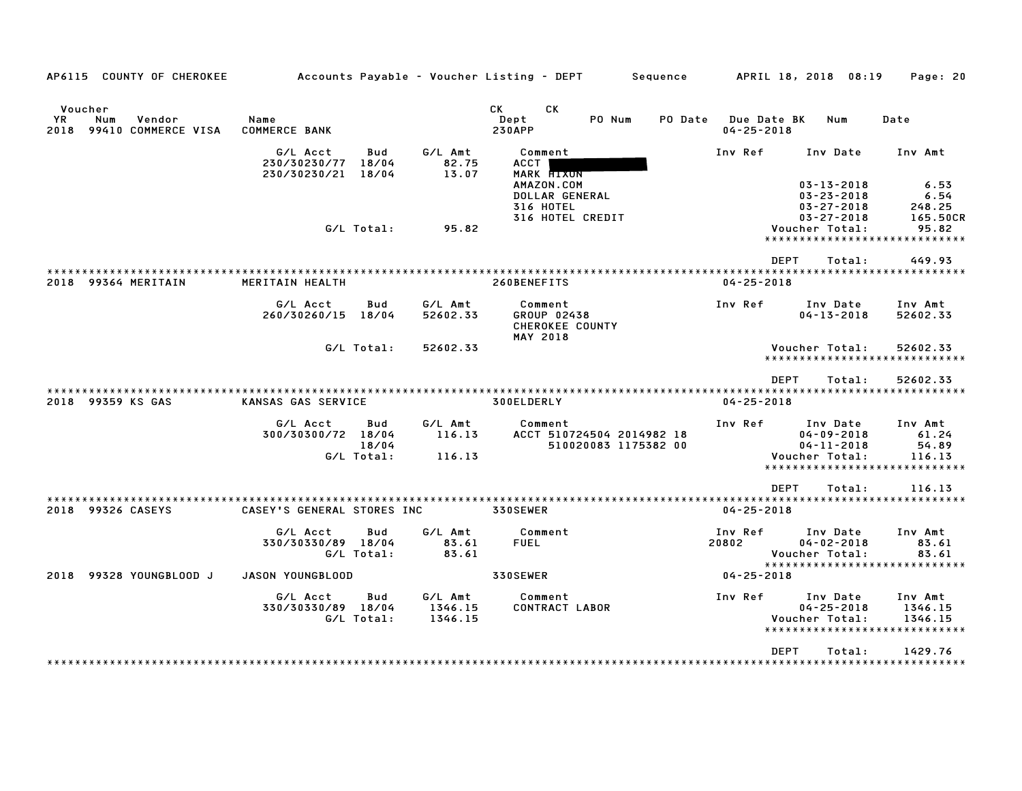| AP6115 COUNTY OF CHEROKEE                                      |                                          |                            |                               | Accounts Payable – Voucher Listing – DEPT                            |                                                   | Sequence |                                                        | APRIL 18, 2018 08:19                                               | Page: 20                                                             |
|----------------------------------------------------------------|------------------------------------------|----------------------------|-------------------------------|----------------------------------------------------------------------|---------------------------------------------------|----------|--------------------------------------------------------|--------------------------------------------------------------------|----------------------------------------------------------------------|
| Voucher<br>YR.<br>Num<br>Vendor<br>99410 COMMERCE VISA<br>2018 | Name<br><b>COMMERCE BANK</b>             |                            |                               | CK<br><b>CK</b><br>Dept<br><b>230APP</b>                             | PO Num                                            | PO Date  | Due Date BK<br>$04 - 25 - 2018$                        | Num                                                                | Date                                                                 |
|                                                                | G/L Acct<br>230/30230/77<br>230/30230/21 | Bud<br>18/04<br>18/04      | G/L Amt<br>82.75<br>13.07     | Comment<br><b>ACCT</b><br>MARK HIXON<br>AMAZON.COM<br>DOLLAR GENERAL |                                                   |          | Inv Ref                                                | Inv Date<br>$03 - 13 - 2018$<br>$03 - 23 - 2018$                   | Inv Amt<br>6.53<br>6.54                                              |
|                                                                |                                          | G/L Total:                 | 95.82                         | 316 HOTEL<br>316 HOTEL CREDIT                                        |                                                   |          |                                                        | $03 - 27 - 2018$<br>$03 - 27 - 2018$<br>Voucher Total:             | 248.25<br>165.50CR<br>95.82<br>*****************************         |
| 2018 99364 MERITAIN                                            | MERITAIN HEALTH                          |                            |                               | 260BENEFITS                                                          |                                                   |          | <b>DEPT</b><br>: * * * * * * * * *<br>$04 - 25 - 2018$ | Total:<br>* * * * * * *                                            | 449.93<br>* * * * * * * * * * * * * * * * * *                        |
|                                                                | G/L Acct<br>260/30260/15                 | Bud<br>18/04               | G/L Amt<br>52602.33           | Comment<br>GROUP 02438<br>CHEROKEE COUNTY<br>MAY 2018                |                                                   |          | Inv Ref                                                | Inv Date<br>$04 - 13 - 2018$                                       | Inv Amt<br>52602.33                                                  |
|                                                                |                                          | G/L Total:                 | 52602.33                      |                                                                      |                                                   |          |                                                        | Voucher Total:                                                     | 52602.33<br>*****************************                            |
| 2018 99359 KS GAS                                              | KANSAS GAS SERVICE                       |                            |                               | 300ELDERLY                                                           |                                                   |          | <b>DEPT</b><br>$04 - 25 - 2018$                        | Total:                                                             | 52602.33                                                             |
|                                                                | G/L Acct<br>300/30300/72 18/04           | Bud<br>18/04<br>G/L Total: | G/L Amt<br>116.13<br>116.13   | Comment                                                              | ACCT 510724504 2014982 18<br>510020083 1175382 00 |          | Inv Ref                                                | Inv Date<br>$04 - 09 - 2018$<br>$04 - 11 - 2018$<br>Voucher Total: | Inv Amt<br>61.24<br>54.89<br>116.13<br>***************************** |
| 2018 99326 CASEYS                                              | CASEY'S GENERAL STORES INC               |                            |                               | ***********************<br>330SEWER                                  |                                                   |          | <b>DEPT</b><br>$04 - 25 - 2018$                        | Total:                                                             | 116.13                                                               |
|                                                                | G/L Acct<br>330/30330/89 18/04           | Bud<br>G/L Total:          | G/L Amt<br>83.61<br>83.61     | Comment<br><b>FUEL</b>                                               |                                                   |          | Inv Ref<br>20802                                       | Inv Date<br>$04 - 02 - 2018$<br>Voucher Total:                     | Inv Amt<br>83.61<br>83.61<br>*****************************           |
| 99328 YOUNGBLOOD J<br>2018                                     | JASON YOUNGBLOOD                         |                            |                               | 330SEWER                                                             |                                                   |          | $04 - 25 - 2018$                                       |                                                                    |                                                                      |
|                                                                | G/L Acct<br>330/30330/89 18/04           | Bud<br>G/L Total:          | G/L Amt<br>1346.15<br>1346.15 | Comment<br>CONTRACT LABOR                                            |                                                   |          | Inv Ref                                                | Inv Date<br>$04 - 25 - 2018$<br>Voucher Total:                     | Inv Amt<br>1346.15<br>1346.15                                        |
|                                                                |                                          |                            |                               |                                                                      |                                                   |          | <b>DEPT</b>                                            | Total:                                                             | 1429.76                                                              |